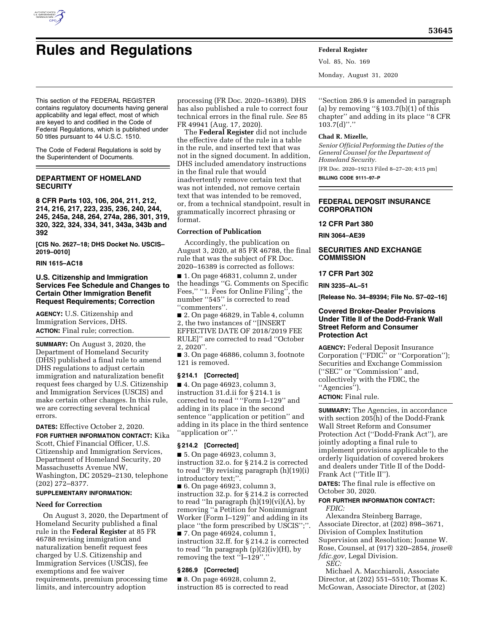

## **Rules and Regulations Federal Register**

Vol. 85, No. 169 Monday, August 31, 2020

This section of the FEDERAL REGISTER contains regulatory documents having general applicability and legal effect, most of which are keyed to and codified in the Code of Federal Regulations, which is published under 50 titles pursuant to 44 U.S.C. 1510.

The Code of Federal Regulations is sold by the Superintendent of Documents.

## **DEPARTMENT OF HOMELAND SECURITY**

**8 CFR Parts 103, 106, 204, 211, 212, 214, 216, 217, 223, 235, 236, 240, 244, 245, 245a, 248, 264, 274a, 286, 301, 319, 320, 322, 324, 334, 341, 343a, 343b and 392** 

**[CIS No. 2627–18; DHS Docket No. USCIS– 2019–0010]** 

#### **RIN 1615–AC18**

## **U.S. Citizenship and Immigration Services Fee Schedule and Changes to Certain Other Immigration Benefit Request Requirements; Correction**

**AGENCY:** U.S. Citizenship and Immigration Services, DHS. **ACTION:** Final rule; correction.

**SUMMARY:** On August 3, 2020, the Department of Homeland Security (DHS) published a final rule to amend DHS regulations to adjust certain immigration and naturalization benefit request fees charged by U.S. Citizenship and Immigration Services (USCIS) and make certain other changes. In this rule, we are correcting several technical errors.

**DATES:** Effective October 2, 2020. **FOR FURTHER INFORMATION CONTACT:** Kika Scott, Chief Financial Officer, U.S. Citizenship and Immigration Services, Department of Homeland Security, 20 Massachusetts Avenue NW, Washington, DC 20529–2130, telephone (202) 272–8377.

## **SUPPLEMENTARY INFORMATION:**

## **Need for Correction**

On August 3, 2020, the Department of Homeland Security published a final rule in the **Federal Register** at 85 FR 46788 revising immigration and naturalization benefit request fees charged by U.S. Citizenship and Immigration Services (USCIS), fee exemptions and fee waiver requirements, premium processing time limits, and intercountry adoption

processing (FR Doc. 2020–16389). DHS has also published a rule to correct four technical errors in the final rule. *See* 85 FR 49941 (Aug. 17, 2020).

The **Federal Register** did not include the effective date of the rule in a table in the rule, and inserted text that was not in the signed document. In addition, DHS included amendatory instructions in the final rule that would inadvertently remove certain text that was not intended, not remove certain text that was intended to be removed, or, from a technical standpoint, result in grammatically incorrect phrasing or format.

## **Correction of Publication**

Accordingly, the publication on August 3, 2020, at 85 FR 46788, the final rule that was the subject of FR Doc. 2020–16389 is corrected as follows:

■ 1. On page 46831, column 2, under the headings ''G. Comments on Specific Fees," "1. Fees for Online Filing", the number ''545'' is corrected to read ''commenters''.

■ 2. On page 46829, in Table 4, column 2, the two instances of ''[INSERT EFFECTIVE DATE OF 2018/2019 FEE RULE]'' are corrected to read ''October 2, 2020''.

■ 3. On page 46886, column 3, footnote 121 is removed.

## **§ 214.1 [Corrected]**

■ 4. On page 46923, column 3, instruction 31.d.ii for § 214.1 is corrected to read '' ''Form I–129'' and adding in its place in the second sentence ''application or petition'' and adding in its place in the third sentence ''application or''.''

## **§ 214.2 [Corrected]**

■ 5. On page 46923, column 3, instruction 32.o. for § 214.2 is corrected to read ''By revising paragraph (h)(19)(i) introductory text;''.

■ 6. On page 46923, column 3, instruction 32.p. for § 214.2 is corrected to read ''In paragraph (h)(19)(vi)(A), by removing ''a Petition for Nonimmigrant Worker (Form I–129)'' and adding in its place ''the form prescribed by USCIS'';''. ■ 7. On page 46924, column 1, instruction 32.ff. for § 214.2 is corrected to read "In paragraph  $(p)(2)(iv)(H)$ , by

# removing the text ''I–129''.''

## **§ 286.9 [Corrected]**

■ 8. On page 46928, column 2, instruction 85 is corrected to read

''Section 286.9 is amended in paragraph (a) by removing " $\S 103.7(b)(1)$  of this chapter'' and adding in its place ''8 CFR  $103.7(d)$ ".''

#### **Chad R. Mizelle,**

*Senior Official Performing the Duties of the General Counsel for the Department of Homeland Security.* 

[FR Doc. 2020–19213 Filed 8–27–20; 4:15 pm]

**BILLING CODE 9111–97–P** 

## **FEDERAL DEPOSIT INSURANCE CORPORATION**

## **12 CFR Part 380**

**RIN 3064–AE39** 

## **SECURITIES AND EXCHANGE COMMISSION**

## **17 CFR Part 302**

**RIN 3235–AL–51** 

**[Release No. 34–89394; File No. S7–02–16]** 

## **Covered Broker-Dealer Provisions Under Title II of the Dodd-Frank Wall Street Reform and Consumer Protection Act**

**AGENCY:** Federal Deposit Insurance Corporation (''FDIC'' or ''Corporation''); Securities and Exchange Commission (''SEC'' or ''Commission'' and, collectively with the FDIC, the ''Agencies'').

**ACTION:** Final rule.

**SUMMARY:** The Agencies, in accordance with section 205(h) of the Dodd-Frank Wall Street Reform and Consumer Protection Act (''Dodd-Frank Act''), are jointly adopting a final rule to implement provisions applicable to the orderly liquidation of covered brokers and dealers under Title II of the Dodd-Frank Act (''Title II'').

**DATES:** The final rule is effective on October 30, 2020.

### **FOR FURTHER INFORMATION CONTACT:**  *FDIC:*

Alexandra Steinberg Barrage, Associate Director, at (202) 898–3671, Division of Complex Institution Supervision and Resolution; Joanne W. Rose, Counsel, at (917) 320–2854, *[jrose@](mailto:jrose@fdic.gov) [fdic.gov,](mailto:jrose@fdic.gov)* Legal Division. *SEC:* 

Michael A. Macchiaroli, Associate Director, at (202) 551–5510; Thomas K. McGowan, Associate Director, at (202)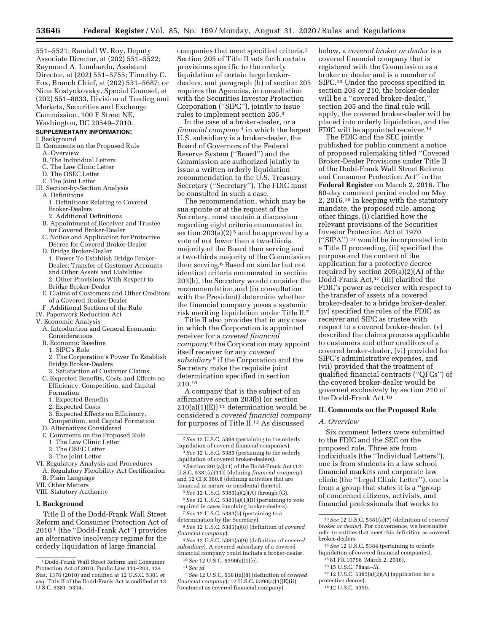551–5521; Randall W. Roy, Deputy Associate Director, at (202) 551–5522; Raymond A. Lombardo, Assistant Director, at (202) 551–5755; Timothy C. Fox, Branch Chief, at (202) 551–5687; or Nina Kostyukovsky, Special Counsel, at (202) 551–8833, Division of Trading and Markets, Securities and Exchange Commission, 100 F Street NE, Washington, DC 20549–7010.

## **SUPPLEMENTARY INFORMATION:**

## I. Background

- 
- II. Comments on the Proposed Rule A. Overview
	- B. The Individual Letters
	- C. The Law Clinic Letter
	- D. The OSEC Letter
	- E. The Joint Letter
- III. Section-by-Section Analysis
- A. Definitions
	- 1. Definitions Relating to Covered Broker-Dealers
	- 2. Additional Definitions
- B. Appointment of Receiver and Trustee for Covered Broker-Dealer
- C. Notice and Application for Protective Decree for Covered Broker-Dealer
- D. Bridge Broker-Dealer 1. Power To Establish Bridge Broker-Dealer; Transfer of Customer Accounts
- and Other Assets and Liabilities 2. Other Provisions With Respect to Bridge Broker-Dealer
- E. Claims of Customers and Other Creditors of a Covered Broker-Dealer
- F. Additional Sections of the Rule
- IV. Paperwork Reduction Act
- V. Economic Analysis
	- A. Introduction and General Economic Considerations
	- B. Economic Baseline
	- 1. SIPC's Role
	- 2. The Corporation's Power To Establish Bridge Broker-Dealers
	- 3. Satisfaction of Customer Claims
	- C. Expected Benefits, Costs and Effects on Efficiency, Competition, and Capital Formation
		- 1. Expected Benefits
		- 2. Expected Costs
		-
		- 3. Expected Effects on Efficiency, Competition, and Capital Formation
	- D. Alternatives Considered
	-
	- E. Comments on the Proposed Rule 1. The Law Clinic Letter
		-
		- 2. The OSEC Letter
		- 3. The Joint Letter
- VI. Regulatory Analysis and Procedures A. Regulatory Flexibility Act Certification
- B. Plain Language
- VII. Other Matters
- VIII. Statutory Authority

#### **I. Background**

Title II of the Dodd-Frank Wall Street Reform and Consumer Protection Act of 2010 1 (the ''Dodd-Frank Act'') provides an alternative insolvency regime for the orderly liquidation of large financial

companies that meet specified criteria.2 Section 205 of Title II sets forth certain provisions specific to the orderly liquidation of certain large brokerdealers, and paragraph (h) of section 205 requires the Agencies, in consultation with the Securities Investor Protection Corporation (''SIPC''), jointly to issue rules to implement section 205.3

In the case of a broker-dealer, or a *financial company* 4 in which the largest U.S. subsidiary is a broker-dealer, the Board of Governors of the Federal Reserve System (''Board'') and the Commission are authorized jointly to issue a written orderly liquidation recommendation to the U.S. Treasury Secretary (''Secretary''). The FDIC must be consulted in such a case.

The recommendation, which may be sua sponte or at the request of the Secretary, must contain a discussion regarding eight criteria enumerated in section  $203(a)(2)^5$  and be approved by a vote of not fewer than a two-thirds majority of the Board then serving and a two-thirds majority of the Commission then serving.6 Based on similar but not identical criteria enumerated in section 203(b), the Secretary would consider the recommendation and (in consultation with the President) determine whether the financial company poses a systemic risk meriting liquidation under Title II.7

Title II also provides that in any case in which the Corporation is appointed receiver for a *covered financial company,*8 the Corporation may appoint itself receiver for any *covered subsidiary* 9 if the Corporation and the Secretary make the requisite joint determination specified in section 210.10

A company that is the subject of an affirmative section 203(b) (or section  $210(a)(1)(E)$ <sup>11</sup> determination would be considered a *covered financial company*  for purposes of Title II.12 As discussed

- 4Section 201(a)(11) of the Dodd-Frank Act (12 U.S.C. 5381(a)(11)) (defining *financial company*) and 12 CFR 380.8 (defining activities that are financial in nature or incidental thereto).
	- 5*See* 12 U.S.C. 5383(a)(2)(A) through (G).

6*See* 12 U.S.C. 5383(a)(1)(B) (pertaining to vote required in cases involving broker-dealers).

- 7*See* 12 U.S.C. 5383(b) (pertaining to a determination by the Secretary).
- 8*See* 12 U.S.C. 5381(a)(8) (definition of *covered financial company*).
- 9*See* 12 U.S.C. 5381(a)(9) (definition of *covered subsidiary*). A covered subsidiary of a covered financial company could include a broker-dealer. 10*See* 12 U.S.C. 5390(a)(1)(e).
	- 11*See id.*

below, a *covered broker or dealer* is a covered financial company that is registered with the Commission as a broker or dealer and is a member of SIPC.13 Under the process specified in section 203 or 210, the broker-dealer will be a "covered broker-dealer," section 205 and the final rule will apply, the covered broker-dealer will be placed into orderly liquidation, and the FDIC will be appointed receiver.<sup>14</sup>

The FDIC and the SEC jointly published for public comment a notice of proposed rulemaking titled ''Covered Broker-Dealer Provisions under Title II of the Dodd-Frank Wall Street Reform and Consumer Protection Act'' in the **Federal Register** on March 2, 2016. The 60-day comment period ended on May 2, 2016.15 In keeping with the statutory mandate, the proposed rule, among other things, (i) clarified how the relevant provisions of the Securities Investor Protection Act of 1970 (''SIPA'') 16 would be incorporated into a Title II proceeding, (ii) specified the purpose and the content of the application for a protective decree required by section 205(a)(2)(A) of the Dodd-Frank Act,17 (iii) clarified the FDIC's power as receiver with respect to the transfer of assets of a covered broker-dealer to a bridge broker-dealer, (iv) specified the roles of the FDIC as receiver and SIPC as trustee with respect to a covered broker-dealer, (v) described the claims process applicable to customers and other creditors of a covered broker-dealer, (vi) provided for SIPC's administrative expenses, and (vii) provided that the treatment of qualified financial contracts (''QFCs'') of the covered broker-dealer would be governed exclusively by section 210 of the Dodd-Frank Act.18

#### **II. Comments on the Proposed Rule**

#### *A. Overview*

Six comment letters were submitted to the FDIC and the SEC on the proposed rule. Three are from individuals (the ''Individual Letters''), one is from students in a law school financial markets and corporate law clinic (the ''Legal Clinic Letter''), one is from a group that states it is a ''group of concerned citizens, activists, and financial professionals that works to

- 14*See* 12 U.S.C. 5384 (pertaining to orderly liquidation of covered financial companies).
	- 15 81 FR 10798 (March 2, 2016).
	- 16 15 U.S.C. 78aaa–*lll.*
- 17 12 U.S.C. 5385(a)(2)(A) (application for a protective decree).
- 18 12 U.S.C. 5390.

<sup>1</sup> Dodd-Frank Wall Street Reform and Consumer Protection Act of 2010, Public Law 111–203, 124 Stat. 1376 (2010) and codified at 12 U.S.C. 5301 *et seq.* Title II of the Dodd-Frank Act is codified at 12 U.S.C. 5381–5394.

<sup>2</sup>*See* 12 U.S.C. 5384 (pertaining to the orderly liquidation of covered financial companies).

<sup>3</sup>*See* 12 U.S.C. 5385 (pertaining to the orderly liquidation of covered broker-dealers).

<sup>12</sup>*See* 12 U.S.C. 5381(a)(8) (definition of *covered financial company*); 12 U.S.C. 5390(a)(1)(E)(ii) (treatment as covered financial company).

<sup>13</sup>*See* 12 U.S.C. 5381(a)(7) (definition of *covered broker or dealer*). For convenience, we hereinafter refer to entities that meet this definition as covered broker-dealers.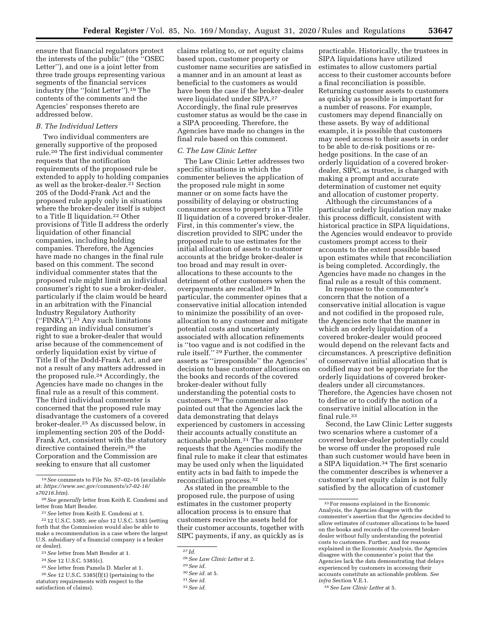ensure that financial regulators protect the interests of the public'' (the ''OSEC Letter''), and one is a joint letter from three trade groups representing various segments of the financial services industry (the ''Joint Letter'').19 The contents of the comments and the Agencies' responses thereto are addressed below.

## *B. The Individual Letters*

Two individual commenters are generally supportive of the proposed rule.20 The first individual commenter requests that the notification requirements of the proposed rule be extended to apply to holding companies as well as the broker-dealer.21 Section 205 of the Dodd-Frank Act and the proposed rule apply only in situations where the broker-dealer itself is subject to a Title II liquidation.22 Other provisions of Title II address the orderly liquidation of other financial companies, including holding companies. Therefore, the Agencies have made no changes in the final rule based on this comment. The second individual commenter states that the proposed rule might limit an individual consumer's right to sue a broker-dealer, particularly if the claim would be heard in an arbitration with the Financial Industry Regulatory Authority (''FINRA'').23 Any such limitations regarding an individual consumer's right to sue a broker-dealer that would arise because of the commencement of orderly liquidation exist by virtue of Title II of the Dodd-Frank Act, and are not a result of any matters addressed in the proposed rule.24 Accordingly, the Agencies have made no changes in the final rule as a result of this comment. The third individual commenter is concerned that the proposed rule may disadvantage the customers of a covered broker-dealer.25 As discussed below, in implementing section 205 of the Dodd-Frank Act, consistent with the statutory directive contained therein,26 the Corporation and the Commission are seeking to ensure that all customer

25*See* letter from Pamela D. Marler at 1.

claims relating to, or net equity claims based upon, customer property or customer name securities are satisfied in a manner and in an amount at least as beneficial to the customers as would have been the case if the broker-dealer were liquidated under SIPA.27 Accordingly, the final rule preserves customer status as would be the case in a SIPA proceeding. Therefore, the Agencies have made no changes in the final rule based on this comment.

#### *C. The Law Clinic Letter*

The Law Clinic Letter addresses two specific situations in which the commenter believes the application of the proposed rule might in some manner or on some facts have the possibility of delaying or obstructing consumer access to property in a Title II liquidation of a covered broker-dealer. First, in this commenter's view, the discretion provided to SIPC under the proposed rule to use estimates for the initial allocation of assets to customer accounts at the bridge broker-dealer is too broad and may result in overallocations to these accounts to the detriment of other customers when the overpayments are recalled.28 In particular, the commenter opines that a conservative initial allocation intended to minimize the possibility of an overallocation to any customer and mitigate potential costs and uncertainty associated with allocation refinements is ''too vague and is not codified in the rule itself.'' 29 Further, the commenter asserts as ''irresponsible'' the Agencies' decision to base customer allocations on the books and records of the covered broker-dealer without fully understanding the potential costs to customers.30 The commenter also pointed out that the Agencies lack the data demonstrating that delays experienced by customers in accessing their accounts actually constitute an actionable problem.31 The commenter requests that the Agencies modify the final rule to make it clear that estimates may be used only when the liquidated entity acts in bad faith to impede the reconciliation process.32

As stated in the preamble to the proposed rule, the purpose of using estimates in the customer property allocation process is to ensure that customers receive the assets held for their customer accounts, together with SIPC payments, if any, as quickly as is

practicable. Historically, the trustees in SIPA liquidations have utilized estimates to allow customers partial access to their customer accounts before a final reconciliation is possible. Returning customer assets to customers as quickly as possible is important for a number of reasons. For example, customers may depend financially on these assets. By way of additional example, it is possible that customers may need access to their assets in order to be able to de-risk positions or rehedge positions. In the case of an orderly liquidation of a covered brokerdealer, SIPC, as trustee, is charged with making a prompt and accurate determination of customer net equity and allocation of customer property.

Although the circumstances of a particular orderly liquidation may make this process difficult, consistent with historical practice in SIPA liquidations, the Agencies would endeavor to provide customers prompt access to their accounts to the extent possible based upon estimates while that reconciliation is being completed. Accordingly, the Agencies have made no changes in the final rule as a result of this comment.

In response to the commenter's concern that the notion of a conservative initial allocation is vague and not codified in the proposed rule, the Agencies note that the manner in which an orderly liquidation of a covered broker-dealer would proceed would depend on the relevant facts and circumstances. A prescriptive definition of conservative initial allocation that is codified may not be appropriate for the orderly liquidations of covered brokerdealers under all circumstances. Therefore, the Agencies have chosen not to define or to codify the notion of a conservative initial allocation in the final rule.33

Second, the Law Clinic Letter suggests two scenarios where a customer of a covered broker-dealer potentially could be worse off under the proposed rule than such customer would have been in a SIPA liquidation.34 The first scenario the commenter describes is whenever a customer's net equity claim is not fully satisfied by the allocation of customer

<sup>19</sup>*See* comments to File No. S7–02–16 (available at: *[https://www.sec.gov/comments/s7-02-16/](https://www.sec.gov/comments/s7-02-16/s70216.htm)  [s70216.htm](https://www.sec.gov/comments/s7-02-16/s70216.htm)*).

<sup>20</sup>*See generally* letter from Keith E. Condemi and letter from Matt Bender.

<sup>21</sup>*See* letter from Keith E. Condemi at 1.

<sup>22</sup> 12 U.S.C. 5385; *see also* 12 U.S.C. 5383 (setting forth that the Commission would also be able to make a recommendation in a case where the largest U.S. subsidiary of a financial company is a broker or dealer).

<sup>23</sup>*See* letter from Matt Bender at 1.

<sup>24</sup>*See* 12 U.S.C. 5385(c).

<sup>26</sup>*See* 12 U.S.C. 5385(f)(1) (pertaining to the statutory requirements with respect to the satisfaction of claims).

<sup>27</sup> *Id.* 

<sup>28</sup>*See Law Clinic Letter* at 2.

<sup>29</sup>*See id.* 

<sup>30</sup>*See id.* at 5.

<sup>31</sup>*See id.* 

<sup>32</sup>*See id.* 

<sup>33</sup>For reasons explained in the Economic Analysis, the Agencies disagree with the commenter's assertion that the Agencies decided to allow estimates of customer allocations to be based on the books and records of the covered brokerdealer without fully understanding the potential costs to customers. Further, and for reasons explained in the Economic Analysis, the Agencies disagree with the commenter's point that the Agencies lack the data demonstrating that delays experienced by customers in accessing their accounts constitute an actionable problem. *See infra* Section V.E.1.

<sup>34</sup>*See Law Clinic Letter* at 5.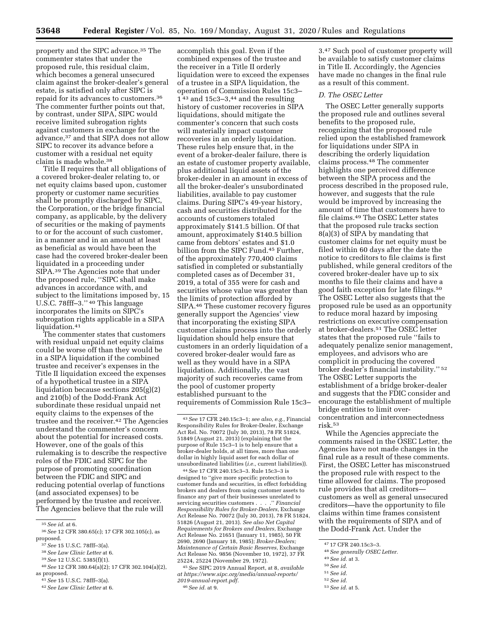property and the SIPC advance.35 The commenter states that under the proposed rule, this residual claim, which becomes a general unsecured claim against the broker-dealer's general estate, is satisfied only after SIPC is repaid for its advances to customers.36 The commenter further points out that, by contrast, under SIPA, SIPC would receive limited subrogation rights against customers in exchange for the advance,37 and that SIPA does not allow SIPC to recover its advance before a customer with a residual net equity claim is made whole.38

Title II requires that all obligations of a covered broker-dealer relating to, or net equity claims based upon, customer property or customer name securities shall be promptly discharged by SIPC, the Corporation, or the bridge financial company, as applicable, by the delivery of securities or the making of payments to or for the account of such customer, in a manner and in an amount at least as beneficial as would have been the case had the covered broker-dealer been liquidated in a proceeding under SIPA.39 The Agencies note that under the proposed rule, ''SIPC shall make advances in accordance with, and subject to the limitations imposed by, 15 U.S.C. 78fff–3.'' 40 This language incorporates the limits on SIPC's subrogation rights applicable in a SIPA liquidation.<sup>41</sup>

The commenter states that customers with residual unpaid net equity claims could be worse off than they would be in a SIPA liquidation if the combined trustee and receiver's expenses in the Title II liquidation exceed the expenses of a hypothetical trustee in a SIPA liquidation because sections 205(g)(2) and 210(b) of the Dodd-Frank Act subordinate these residual unpaid net equity claims to the expenses of the trustee and the receiver.42 The Agencies understand the commenter's concern about the potential for increased costs. However, one of the goals of this rulemaking is to describe the respective roles of the FDIC and SIPC for the purpose of promoting coordination between the FDIC and SIPC and reducing potential overlap of functions (and associated expenses) to be performed by the trustee and receiver. The Agencies believe that the rule will

40*See* 12 CFR 380.64(a)(2); 17 CFR 302.104(a)(2), as proposed.

accomplish this goal. Even if the combined expenses of the trustee and the receiver in a Title II orderly liquidation were to exceed the expenses of a trustee in a SIPA liquidation, the operation of Commission Rules 15c3–  $1<sup>43</sup>$  and  $15c3-3<sup>44</sup>$  and the resulting history of customer recoveries in SIPA liquidations, should mitigate the commenter's concern that such costs will materially impact customer recoveries in an orderly liquidation. These rules help ensure that, in the event of a broker-dealer failure, there is an estate of customer property available, plus additional liquid assets of the broker-dealer in an amount in excess of all the broker-dealer's unsubordinated liabilities, available to pay customer claims. During SIPC's 49-year history, cash and securities distributed for the accounts of customers totaled approximately \$141.5 billion. Of that amount, approximately \$140.5 billion came from debtors' estates and \$1.0 billion from the SIPC Fund.45 Further, of the approximately 770,400 claims satisfied in completed or substantially completed cases as of December 31, 2019, a total of 355 were for cash and securities whose value was greater than the limits of protection afforded by SIPA.46 These customer recovery figures generally support the Agencies' view that incorporating the existing SIPA customer claims process into the orderly liquidation should help ensure that customers in an orderly liquidation of a covered broker-dealer would fare as well as they would have in a SIPA liquidation. Additionally, the vast majority of such recoveries came from the pool of customer property established pursuant to the requirements of Commission Rule 15c3–

44*See* 17 CFR 240.15c3–3. Rule 15c3–3 is designed to ''give more specific protection to customer funds and securities, in effect forbidding brokers and dealers from using customer assets to finance any part of their businesses unrelated to servicing securities customers . . . .'' *Financial Responsibility Rules for Broker-Dealers,* Exchange Act Release No. 70072 (July 30, 2013), 78 FR 51824, 51826 (August 21, 2013). *See also Net Capital Requirements for Brokers and Dealers,* Exchange Act Release No. 21651 (January 11, 1985), 50 FR 2690, 2690 (January 18, 1985); *Broker-Dealers; Maintenance of Certain Basic Reserves,* Exchange Act Release No. 9856 (November 10, 1972), 37 FR 25224, 25224 (November 29, 1972).

45*See* SIPC 2019 Annual Report, at 8, *available at [https://www.sipc.org/media/annual-reports/](https://www.sipc.org/media/annual-reports/2019-annual-report.pdf)  [2019-annual-report.pdf.](https://www.sipc.org/media/annual-reports/2019-annual-report.pdf)* 

46*See id.* at 9.

3.47 Such pool of customer property will be available to satisfy customer claims in Title II. Accordingly, the Agencies have made no changes in the final rule as a result of this comment.

#### *D. The OSEC Letter*

The OSEC Letter generally supports the proposed rule and outlines several benefits to the proposed rule, recognizing that the proposed rule relied upon the established framework for liquidations under SIPA in describing the orderly liquidation claims process.48 The commenter highlights one perceived difference between the SIPA process and the process described in the proposed rule, however, and suggests that the rule would be improved by increasing the amount of time that customers have to file claims.49 The OSEC Letter states that the proposed rule tracks section 8(a)(3) of SIPA by mandating that customer claims for net equity must be filed within 60 days after the date the notice to creditors to file claims is first published, while general creditors of the covered broker-dealer have up to six months to file their claims and have a good faith exception for late filings.50 The OSEC Letter also suggests that the proposed rule be used as an opportunity to reduce moral hazard by imposing restrictions on executive compensation at broker-dealers.51 The OSEC letter states that the proposed rule ''fails to adequately penalize senior management, employees, and advisors who are complicit in producing the covered broker dealer's financial instability.'' 52 The OSEC Letter supports the establishment of a bridge broker-dealer and suggests that the FDIC consider and encourage the establishment of multiple bridge entities to limit overconcentration and interconnectedness risk.53

While the Agencies appreciate the comments raised in the OSEC Letter, the Agencies have not made changes in the final rule as a result of these comments. First, the OSEC Letter has misconstrued the proposed rule with respect to the time allowed for claims. The proposed rule provides that all creditors customers as well as general unsecured creditors—have the opportunity to file claims within time frames consistent with the requirements of SIPA and of the Dodd-Frank Act. Under the

- 48*See generally OSEC Letter.*
- 49*See id.* at 3.
- 50*See id.*
- 51*See id.*
- 52*See id.*
- 53*See id.* at 5.

<sup>35</sup>*See id.* at 6.

<sup>36</sup>*See* 12 CFR 380.65(c); 17 CFR 302.105(c), as proposed.

<sup>37</sup>*See* 15 U.S.C. 78fff–3(a).

<sup>38</sup>*See Law Clinic Letter* at 6.

<sup>39</sup>*See* 12 U.S.C. 5385(f)(1).

<sup>41</sup>*See* 15 U.S.C. 78fff–3(a).

<sup>42</sup>*See Law Clinic Letter* at 6.

<sup>43</sup>*See* 17 CFR 240.15c3–1; *see also, e.g.,* Financial Responsibility Rules for Broker-Dealer, Exchange Act Rel. No. 70072 (July 30, 2013), 78 FR 51824, 51849 (August 21, 2013) (explaining that the purpose of Rule 15c3–1 is to help ensure that a broker-dealer holds, at all times, more than one dollar in highly liquid asset for each dollar of unsubordinated liabilities (*i.e.,* current liabilities)).

<sup>47</sup> 17 CFR 240.15c3–3.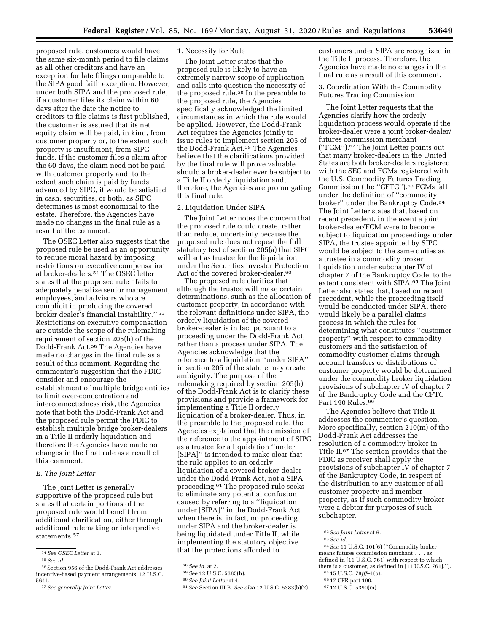proposed rule, customers would have the same six-month period to file claims as all other creditors and have an exception for late filings comparable to the SIPA good faith exception. However, under both SIPA and the proposed rule, if a customer files its claim within 60 days after the date the notice to creditors to file claims is first published, the customer is assured that its net equity claim will be paid, in kind, from customer property or, to the extent such property is insufficient, from SIPC funds. If the customer files a claim after the 60 days, the claim need not be paid with customer property and, to the extent such claim is paid by funds advanced by SIPC, it would be satisfied in cash, securities, or both, as SIPC determines is most economical to the estate. Therefore, the Agencies have made no changes in the final rule as a result of the comment.

The OSEC Letter also suggests that the proposed rule be used as an opportunity to reduce moral hazard by imposing restrictions on executive compensation at broker-dealers.54 The OSEC letter states that the proposed rule ''fails to adequately penalize senior management, employees, and advisors who are complicit in producing the covered broker dealer's financial instability.'' 55 Restrictions on executive compensation are outside the scope of the rulemaking requirement of section 205(h) of the Dodd-Frank Act.56 The Agencies have made no changes in the final rule as a result of this comment. Regarding the commenter's suggestion that the FDIC consider and encourage the establishment of multiple bridge entities to limit over-concentration and interconnectedness risk, the Agencies note that both the Dodd-Frank Act and the proposed rule permit the FDIC to establish multiple bridge broker-dealers in a Title II orderly liquidation and therefore the Agencies have made no changes in the final rule as a result of this comment.

#### *E. The Joint Letter*

The Joint Letter is generally supportive of the proposed rule but states that certain portions of the proposed rule would benefit from additional clarification, either through additional rulemaking or interpretive statements.57

#### 1. Necessity for Rule

The Joint Letter states that the proposed rule is likely to have an extremely narrow scope of application and calls into question the necessity of the proposed rule.58 In the preamble to the proposed rule, the Agencies specifically acknowledged the limited circumstances in which the rule would be applied. However, the Dodd-Frank Act requires the Agencies jointly to issue rules to implement section 205 of the Dodd-Frank Act.59 The Agencies believe that the clarifications provided by the final rule will prove valuable should a broker-dealer ever be subject to a Title II orderly liquidation and, therefore, the Agencies are promulgating this final rule.

#### 2. Liquidation Under SIPA

The Joint Letter notes the concern that the proposed rule could create, rather than reduce, uncertainty because the proposed rule does not repeat the full statutory text of section 205(a) that SIPC will act as trustee for the liquidation under the Securities Investor Protection Act of the covered broker-dealer.<sup>60</sup>

The proposed rule clarifies that although the trustee will make certain determinations, such as the allocation of customer property, in accordance with the relevant definitions under SIPA, the orderly liquidation of the covered broker-dealer is in fact pursuant to a proceeding under the Dodd-Frank Act, rather than a process under SIPA. The Agencies acknowledge that the reference to a liquidation ''under SIPA'' in section 205 of the statute may create ambiguity. The purpose of the rulemaking required by section 205(h) of the Dodd-Frank Act is to clarify these provisions and provide a framework for implementing a Title II orderly liquidation of a broker-dealer. Thus, in the preamble to the proposed rule, the Agencies explained that the omission of the reference to the appointment of SIPC as a trustee for a liquidation ''under [SIPA]'' is intended to make clear that the rule applies to an orderly liquidation of a covered broker-dealer under the Dodd-Frank Act, not a SIPA proceeding.61 The proposed rule seeks to eliminate any potential confusion caused by referring to a ''liquidation under [SIPA]'' in the Dodd-Frank Act when there is, in fact, no proceeding under SIPA and the broker-dealer is being liquidated under Title II, while implementing the statutory objective that the protections afforded to

customers under SIPA are recognized in the Title II process. Therefore, the Agencies have made no changes in the final rule as a result of this comment.

3. Coordination With the Commodity Futures Trading Commission

The Joint Letter requests that the Agencies clarify how the orderly liquidation process would operate if the broker-dealer were a joint broker-dealer/ futures commission merchant (''FCM'').62 The Joint Letter points out that many broker-dealers in the United States are both broker-dealers registered with the SEC and FCMs registered with the U.S. Commodity Futures Trading Commission (the ''CFTC'').63 FCMs fall under the definition of ''commodity broker'' under the Bankruptcy Code.64 The Joint Letter states that, based on recent precedent, in the event a joint broker-dealer/FCM were to become subject to liquidation proceedings under SIPA, the trustee appointed by SIPC would be subject to the same duties as a trustee in a commodity broker liquidation under subchapter IV of chapter 7 of the Bankruptcy Code, to the extent consistent with SIPA.65 The Joint Letter also states that, based on recent precedent, while the proceeding itself would be conducted under SIPA, there would likely be a parallel claims process in which the rules for determining what constitutes ''customer property'' with respect to commodity customers and the satisfaction of commodity customer claims through account transfers or distributions of customer property would be determined under the commodity broker liquidation provisions of subchapter IV of chapter 7 of the Bankruptcy Code and the CFTC Part 190 Rules.<sup>66</sup>

The Agencies believe that Title II addresses the commenter's question. More specifically, section 210(m) of the Dodd-Frank Act addresses the resolution of a commodity broker in Title II.67 The section provides that the FDIC as receiver shall apply the provisions of subchapter IV of chapter 7 of the Bankruptcy Code, in respect of the distribution to any customer of all customer property and member property, as if such commodity broker were a debtor for purposes of such subchapter.

<sup>54</sup>*See OSEC Letter* at 3.

<sup>55</sup>*See id.* 

 $^{56}\rm{Section}$ 956 of the Dodd-Frank Act addresses incentive-based payment arrangements. 12 U.S.C. 5641.

<sup>57</sup>*See generally Joint Letter.* 

<sup>58</sup>*See id.* at 2.

<sup>59</sup>*See* 12 U.S.C. 5385(h).

<sup>60</sup>*See Joint Letter* at 4.

<sup>61</sup>*See* Section III.B. *See also* 12 U.S.C. 5383(b)(2).

<sup>62</sup>*See Joint Letter* at 6.

<sup>63</sup>*See id.* 

<sup>64</sup>*See* 11 U.S.C. 101(6) (''Commodity broker means futures commission merchant . . . as defined in [11 U.S.C. 761] with respect to which there is a customer, as defined in  $[11$  U.S.C. 761].").

<sup>65</sup> 15 U.S.C. 78*fff*–1(b).

<sup>66</sup> 17 CFR part 190.

<sup>67</sup> 12 U.S.C. 5390(m).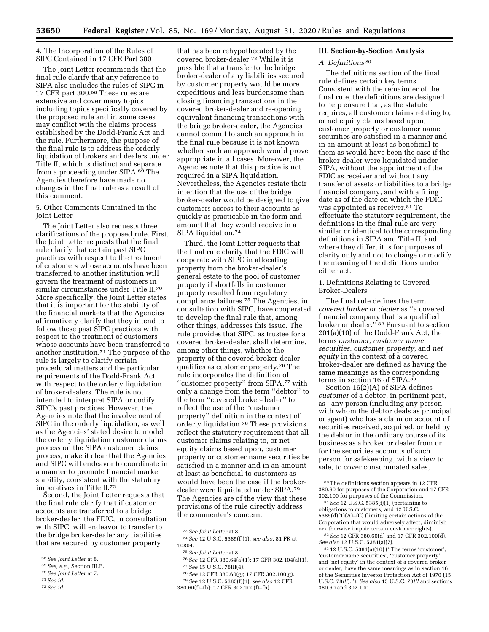4. The Incorporation of the Rules of SIPC Contained in 17 CFR Part 300

The Joint Letter recommends that the final rule clarify that any reference to SIPA also includes the rules of SIPC in 17 CFR part 300.68 These rules are extensive and cover many topics including topics specifically covered by the proposed rule and in some cases may conflict with the claims process established by the Dodd-Frank Act and the rule. Furthermore, the purpose of the final rule is to address the orderly liquidation of brokers and dealers under Title II, which is distinct and separate from a proceeding under SIPA.69 The Agencies therefore have made no changes in the final rule as a result of this comment.

5. Other Comments Contained in the Joint Letter

The Joint Letter also requests three clarifications of the proposed rule. First, the Joint Letter requests that the final rule clarify that certain past SIPC practices with respect to the treatment of customers whose accounts have been transferred to another institution will govern the treatment of customers in similar circumstances under Title II.70 More specifically, the Joint Letter states that it is important for the stability of the financial markets that the Agencies affirmatively clarify that they intend to follow these past SIPC practices with respect to the treatment of customers whose accounts have been transferred to another institution.71 The purpose of the rule is largely to clarify certain procedural matters and the particular requirements of the Dodd-Frank Act with respect to the orderly liquidation of broker-dealers. The rule is not intended to interpret SIPA or codify SIPC's past practices. However, the Agencies note that the involvement of SIPC in the orderly liquidation, as well as the Agencies' stated desire to model the orderly liquidation customer claims process on the SIPA customer claims process, make it clear that the Agencies and SIPC will endeavor to coordinate in a manner to promote financial market stability, consistent with the statutory imperatives in Title II.72

Second, the Joint Letter requests that the final rule clarify that if customer accounts are transferred to a bridge broker-dealer, the FDIC, in consultation with SIPC, will endeavor to transfer to the bridge broker-dealer any liabilities that are secured by customer property

72*See id.* 

that has been rehypothecated by the covered broker-dealer.73 While it is possible that a transfer to the bridge broker-dealer of any liabilities secured by customer property would be more expeditious and less burdensome than closing financing transactions in the covered broker-dealer and re-opening equivalent financing transactions with the bridge broker-dealer, the Agencies cannot commit to such an approach in the final rule because it is not known whether such an approach would prove appropriate in all cases. Moreover, the Agencies note that this practice is not required in a SIPA liquidation. Nevertheless, the Agencies restate their intention that the use of the bridge broker-dealer would be designed to give customers access to their accounts as quickly as practicable in the form and amount that they would receive in a SIPA liquidation.74

Third, the Joint Letter requests that the final rule clarify that the FDIC will cooperate with SIPC in allocating property from the broker-dealer's general estate to the pool of customer property if shortfalls in customer property resulted from regulatory compliance failures.75 The Agencies, in consultation with SIPC, have cooperated to develop the final rule that, among other things, addresses this issue. The rule provides that SIPC, as trustee for a covered broker-dealer, shall determine, among other things, whether the property of the covered broker-dealer qualifies as customer property.76 The rule incorporates the definition of "customer property" from SIPA,<sup>77</sup> with only a change from the term ''debtor'' to the term ''covered broker-dealer'' to reflect the use of the ''customer property'' definition in the context of orderly liquidation.78 These provisions reflect the statutory requirement that all customer claims relating to, or net equity claims based upon, customer property or customer name securities be satisfied in a manner and in an amount at least as beneficial to customers as would have been the case if the brokerdealer were liquidated under SIPA.79 The Agencies are of the view that these provisions of the rule directly address the commenter's concern.

- 76*See* 12 CFR 380.64(a)(1); 17 CFR 302.104(a)(1). 77*See* 15 U.S.C. 78lll(4).
- 78*See* 12 CFR 380.60(g); 17 CFR 302.100(g).

79*See* 12 U.S.C. 5385(f)(1); *see also* 12 CFR 380.60(f)–(h); 17 CFR 302.100(f)–(h).

#### **III. Section-by-Section Analysis**

## *A. Definitions* 80

The definitions section of the final rule defines certain key terms. Consistent with the remainder of the final rule, the definitions are designed to help ensure that, as the statute requires, all customer claims relating to, or net equity claims based upon, customer property or customer name securities are satisfied in a manner and in an amount at least as beneficial to them as would have been the case if the broker-dealer were liquidated under SIPA, without the appointment of the FDIC as receiver and without any transfer of assets or liabilities to a bridge financial company, and with a filing date as of the date on which the FDIC was appointed as receiver.<sup>81</sup> To effectuate the statutory requirement, the definitions in the final rule are very similar or identical to the corresponding definitions in SIPA and Title II, and where they differ, it is for purposes of clarity only and not to change or modify the meaning of the definitions under either act.

1. Definitions Relating to Covered Broker-Dealers

The final rule defines the term *covered broker or dealer* as ''a covered financial company that is a qualified broker or dealer."<sup>82</sup> Pursuant to section 201(a)(10) of the Dodd-Frank Act, the terms *customer, customer name securities, customer property,* and *net equity* in the context of a covered broker-dealer are defined as having the same meanings as the corresponding terms in section 16 of SIPA.83

Section 16(2)(A) of SIPA defines *customer* of a debtor, in pertinent part, as ''any person (including any person with whom the debtor deals as principal or agent) who has a claim on account of securities received, acquired, or held by the debtor in the ordinary course of its business as a broker or dealer from or for the securities accounts of such person for safekeeping, with a view to sale, to cover consummated sales,

<sup>68</sup>*See Joint Letter* at 8.

<sup>69</sup>*See, e.g.,* Section III.B.

<sup>70</sup>*See Joint Letter* at 7.

<sup>71</sup>*See id.* 

<sup>73</sup>*See Joint Letter* at 8.

<sup>74</sup>*See* 12 U.S.C. 5385(f)(1); *see also,* 81 FR at 10804.

<sup>75</sup>*See Joint Letter* at 8.

<sup>80</sup>The definitions section appears in 12 CFR 380.60 for purposes of the Corporation and 17 CFR 302.100 for purposes of the Commission.

<sup>81</sup>*See* 12 U.S.C. 5385(f)(1) (pertaining to obligations to customers) and 12 U.S.C. 5385(d)(1)(A)–(C) (limiting certain actions of the Corporation that would adversely affect, diminish or otherwise impair certain customer rights).

<sup>82</sup>*See* 12 CFR 380.60(d) and 17 CFR 302.100(d). *See also* 12 U.S.C. 5381(a)(7).

<sup>83</sup> 12 U.S.C. 5381(a)(10) (''The terms 'customer', 'customer name securities', 'customer property', and 'net equity' in the context of a covered broker or dealer, have the same meanings as in section 16 of the Securities Investor Protection Act of 1970 (15 U.S.C. 78*lll*).''). *See also* 15 U.S.C. 78*lll* and sections 380.60 and 302.100.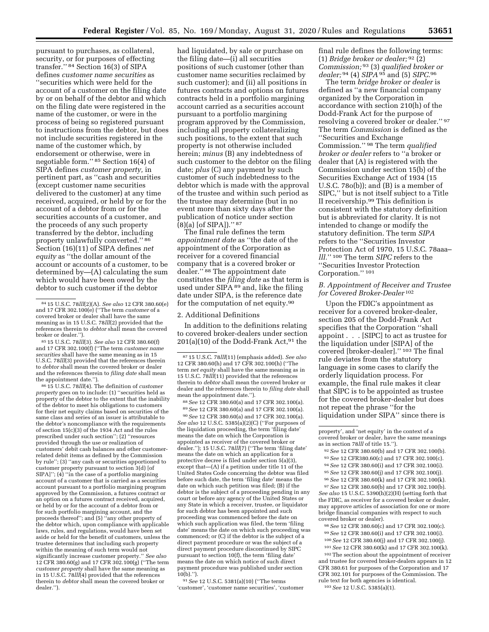pursuant to purchases, as collateral, security, or for purposes of effecting transfer.'' 84 Section 16(3) of SIPA defines *customer name securities* as ''securities which were held for the account of a customer on the filing date by or on behalf of the debtor and which on the filing date were registered in the name of the customer, or were in the process of being so registered pursuant to instructions from the debtor, but does not include securities registered in the name of the customer which, by endorsement or otherwise, were in negotiable form.'' 85 Section 16(4) of SIPA defines *customer property,* in pertinent part, as ''cash and securities (except customer name securities delivered to the customer) at any time received, acquired, or held by or for the account of a debtor from or for the securities accounts of a customer, and the proceeds of any such property transferred by the debtor, including property unlawfully converted.'' 86 Section (16)(11) of SIPA defines *net equity* as ''the dollar amount of the account or accounts of a customer, to be determined by—(A) calculating the sum which would have been owed by the debtor to such customer if the debtor

broker or dealer.'').<br><sup>85</sup> 15 U.S.C. 78*lll*(3). *See also* 12 CFR 380.60(f)<br>and 17 CFR 302.100(f) (''The term *customer name securities* shall have the same meaning as in 15 U.S.C. 78*lll*(3) provided that the references therein to *debtor* shall mean the covered broker or dealer and the references therein to *filing date* shall mean

 $6645$  U.S.C. 78*lll*(4). The definition of *customer property* goes on to include: (1) ''securities held as property of the debtor to the extent that the inability of the debtor to meet his obligations to customers for their net equity claims based on securities of the same class and series of an issuer is attributable to the debtor's noncompliance with the requirements of section  $15(c)(3)$  of the 1934 Act and the rules prescribed under such section''; (2) ''resources provided through the use or realization of customers' debit cash balances and other customerrelated debit items as defined by the Commission by rule''; (3) ''any cash or securities apportioned to customer property pursuant to section 3(d) [of SIPA]''; (4) ''in the case of a portfolio margining account of a customer that is carried as a securities account pursuant to a portfolio margining program approved by the Commission, a futures contract or an option on a futures contract received, acquired, or held by or for the account of a debtor from or for such portfolio margining account, and the proceeds thereof''; and (5) ''any other property of the debtor which, upon compliance with applicable laws, rules, and regulations, would have been set aside or held for the benefit of customers, unless the trustee determines that including such property within the meaning of such term would not significantly increase customer property.'' *See also*  12 CFR 380.60(g) and 17 CFR 302.100(g) (''The term *customer property* shall have the same meaning as in 15 U.S.C. 78*lll*(4) provided that the references therein to *debtor* shall mean the covered broker or dealer.'').

had liquidated, by sale or purchase on the filing date—(i) all securities positions of such customer (other than customer name securities reclaimed by such customer); and (ii) all positions in futures contracts and options on futures contracts held in a portfolio margining account carried as a securities account pursuant to a portfolio margining program approved by the Commission, including all property collateralizing such positions, to the extent that such property is not otherwise included herein; *minus* (B) any indebtedness of such customer to the debtor on the filing date; *plus* (C) any payment by such customer of such indebtedness to the debtor which is made with the approval of the trustee and within such period as the trustee may determine (but in no event more than sixty days after the publication of notice under section  $(8)(a)$  [of SIPA])." 87

The final rule defines the term *appointment date* as ''the date of the appointment of the Corporation as receiver for a covered financial company that is a covered broker or dealer.'' 88 The appointment date constitutes the *filing date* as that term is used under SIPA<sup>89</sup> and, like the filing date under SIPA, is the reference date for the computation of net equity.90

#### 2. Additional Definitions

In addition to the definitions relating to covered broker-dealers under section  $201(a)(10)$  of the Dodd-Frank Act,  $91$  the

88*See* 12 CFR 380.60(a) and 17 CFR 302.100(a). 89*See* 12 CFR 380.60(a) and 17 CFR 302.100(a).

90*See* 12 CFR 380.60(a) and 17 CFR 302.100(a). *See also* 12 U.S.C. 5385(a)(2)(C) (''For purposes of the liquidation proceeding, the term 'filing date' means the date on which the Corporation is appointed as receiver of the covered broker or dealer.''); 15 U.S.C. 78*lll*(7) (''The term 'filing date' means the date on which an application for a protective decree is filed under section 5(a)(3), except that—(A) if a petition under title 11 of the United States Code concerning the debtor was filed before such date, the term 'filing date' means the date on which such petition was filed; (B) if the debtor is the subject of a proceeding pending in any court or before any agency of the United States or any State in which a receiver, trustee, or liquidator for such debtor has been appointed and such proceeding was commenced before the date on which such application was filed, the term 'filing date' means the date on which such proceeding was commenced; or (C) if the debtor is the subject of a direct payment procedure or was the subject of a direct payment procedure discontinued by SIPC pursuant to section 10(f), the term 'filing date' means the date on which notice of such direct payment procedure was published under section  $10(b)$ .").

91*See* 12 U.S.C. 5381(a)(10) (''The terms 'customer', 'customer name securities', 'customer final rule defines the following terms: (1) *Bridge broker or dealer;* 92 (2) *Commission;* 93 (3) *qualified broker or dealer;* 94 (4) *SIPA* 95 and (5) *SIPC.*96

The term *bridge broker or dealer* is defined as ''a new financial company organized by the Corporation in accordance with section 210(h) of the Dodd-Frank Act for the purpose of resolving a covered broker or dealer.'' 97 The term *Commission* is defined as the ''Securities and Exchange Commission.'' 98 The term *qualified broker or dealer* refers to ''a broker or dealer that (A) is registered with the Commission under section 15(b) of the Securities Exchange Act of 1934 (15 U.S.C. 78o(b)); and (B) is a member of SIPC,'' but is not itself subject to a Title II receivership.99 This definition is consistent with the statutory definition but is abbreviated for clarity. It is not intended to change or modify the statutory definition. The term *SIPA*  refers to the ''Securities Investor Protection Act of 1970, 15 U.S.C. 78aaa– *lll.*'' 100 The term *SIPC* refers to the ''Securities Investor Protection Corporation.'' 101

## *B. Appointment of Receiver and Trustee for Covered Broker-Dealer* 102

Upon the FDIC's appointment as receiver for a covered broker-dealer, section 205 of the Dodd-Frank Act specifies that the Corporation ''shall appoint . . . [SIPC] to act as trustee for the liquidation under [SIPA] of the covered [broker-dealer].'' 103 The final rule deviates from the statutory language in some cases to clarify the orderly liquidation process. For example, the final rule makes it clear that SIPC is to be appointed as trustee for the covered broker-dealer but does not repeat the phrase ''for the liquidation under SIPA'' since there is

- 92*See* 12 CFR 380.60(b) and 17 CFR 302.100(b). 93*See* 12 CFR380.60(c) and 17 CFR 302.100(c). 94*See* 12 CFR 380.60(i) and 17 CFR 302.100(i).
- 95*See* 12 CFR 380.60(j) and 17 CFR 302.100(j).

97*See* 12 CFR 380.60(b) and 17 CFR 302.100(b). *See also* 15 U.S.C. 5390(h)(2)(H) (setting forth that the FDIC, as receiver for a covered broker or dealer, may approve articles of association for one or more bridge financial companies with respect to such covered broker or dealer).

98*See* 12 CFR 380.60(c) and 17 CFR 302.100(c). 99*See* 12 CFR 380.60(i) and 17 CFR 302.100(i). 100*See* 12 CFR 380.60(j) and 17 CFR 302.100(j).

101*See* 12 CFR 380.60(k) and 17 CFR 302.100(k).

102The section about the appointment of receiver and trustee for covered broker-dealers appears in 12 CFR 380.61 for purposes of the Corporation and 17 CFR 302.101 for purposes of the Commission. The rule text for both agencies is identical.

103*See* 12 U.S.C. 5385(a)(1).

<sup>84</sup> 15 U.S.C. 78*lll*(2)(A). *See also* 12 CFR 380.60(e) and 17 CFR 302.100(e) (''The term *customer* of a covered broker or dealer shall have the same meaning as in 15 U.S.C. 78*lll*(2) provided that the references therein to *debtor* shall mean the covered

<sup>87</sup> 15 U.S.C. 78*lll*(11) (emphasis added). *See also*  12 CFR 380.60(h) and 17 CFR 302.100(h) (''The term *net equity* shall have the same meaning as in 15 U.S.C. 78*lll*(11) provided that the references therein to *debtor* shall mean the covered broker or dealer and the references therein to *filing date* shall mean the appointment date.'').

property', and 'net equity' in the context of a covered broker or dealer, have the same meanings as in section 78*lll* of title 15.'').

<sup>96</sup>*See* 12 CFR 380.60(k) and 17 CFR 302.100(k).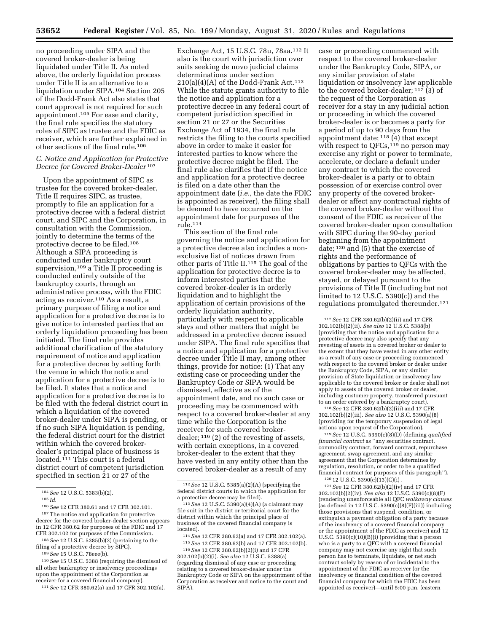no proceeding under SIPA and the covered broker-dealer is being liquidated under Title II. As noted above, the orderly liquidation process under Title II is an alternative to a liquidation under SIPA.104 Section 205 of the Dodd-Frank Act also states that court approval is not required for such appointment.105 For ease and clarity, the final rule specifies the statutory roles of SIPC as trustee and the FDIC as receiver, which are further explained in other sections of the final rule.106

#### *C. Notice and Application for Protective Decree for Covered Broker-Dealer* 107

Upon the appointment of SIPC as trustee for the covered broker-dealer, Title II requires SIPC, as trustee, promptly to file an application for a protective decree with a federal district court, and SIPC and the Corporation, in consultation with the Commission, jointly to determine the terms of the protective decree to be filed.108 Although a SIPA proceeding is conducted under bankruptcy court supervision,<sup>109</sup> a Title II proceeding is conducted entirely outside of the bankruptcy courts, through an administrative process, with the FDIC acting as receiver.110 As a result, a primary purpose of filing a notice and application for a protective decree is to give notice to interested parties that an orderly liquidation proceeding has been initiated. The final rule provides additional clarification of the statutory requirement of notice and application for a protective decree by setting forth the venue in which the notice and application for a protective decree is to be filed. It states that a notice and application for a protective decree is to be filed with the federal district court in which a liquidation of the covered broker-dealer under SIPA is pending, or if no such SIPA liquidation is pending, the federal district court for the district within which the covered brokerdealer's principal place of business is located.<sup>111</sup> This court is a federal district court of competent jurisdiction specified in section 21 or 27 of the

108*See* 12 U.S.C. 5385(b)(3) (pertaining to the filing of a protective decree by SIPC).

109*See* 15 U.S.C. 78eee(b).

110*See* 15 U.S.C. 5388 (requiring the dismissal of all other bankruptcy or insolvency proceedings upon the appointment of the Corporation as receiver for a covered financial company).

111*See* 12 CFR 380.62(a) and 17 CFR 302.102(a).

Exchange Act, 15 U.S.C. 78u, 78aa.112 It also is the court with jurisdiction over suits seeking de novo judicial claims determinations under section  $210(a)(4)(A)$  of the Dodd-Frank Act.<sup>113</sup> While the statute grants authority to file the notice and application for a protective decree in any federal court of competent jurisdiction specified in section 21 or 27 or the Securities Exchange Act of 1934, the final rule restricts the filing to the courts specified above in order to make it easier for interested parties to know where the protective decree might be filed. The final rule also clarifies that if the notice and application for a protective decree is filed on a date other than the appointment date (*i.e.,* the date the FDIC is appointed as receiver), the filing shall be deemed to have occurred on the appointment date for purposes of the rule.114

This section of the final rule governing the notice and application for a protective decree also includes a nonexclusive list of notices drawn from other parts of Title II.115 The goal of the application for protective decree is to inform interested parties that the covered broker-dealer is in orderly liquidation and to highlight the application of certain provisions of the orderly liquidation authority, particularly with respect to applicable stays and other matters that might be addressed in a protective decree issued under SIPA. The final rule specifies that a notice and application for a protective decree under Title II may, among other things, provide for notice: (1) That any existing case or proceeding under the Bankruptcy Code or SIPA would be dismissed, effective as of the appointment date, and no such case or proceeding may be commenced with respect to a covered broker-dealer at any time while the Corporation is the receiver for such covered brokerdealer; 116 (2) of the revesting of assets, with certain exceptions, in a covered broker-dealer to the extent that they have vested in any entity other than the covered broker-dealer as a result of any

located). 114*See* 12 CFR 380.62(a) and 17 CFR 302.102(a). 115*See* 12 CFR 380.62(b) and 17 CFR 302.102(b). 116*See* 12 CFR 380.62(b)(2)(i) and 17 CFR

302.102(b)(2)(i). *See also* 12 U.S.C. 5388(a) (regarding dismissal of any case or proceeding relating to a covered broker-dealer under the Bankruptcy Code or SIPA on the appointment of the Corporation as receiver and notice to the court and SIPA).

case or proceeding commenced with respect to the covered broker-dealer under the Bankruptcy Code, SIPA, or any similar provision of state liquidation or insolvency law applicable to the covered broker-dealer; 117 (3) of the request of the Corporation as receiver for a stay in any judicial action or proceeding in which the covered broker-dealer is or becomes a party for a period of up to 90 days from the appointment date;  $118$  (4) that except with respect to  $QFCs$ ,<sup>119</sup> no person may exercise any right or power to terminate, accelerate, or declare a default under any contract to which the covered broker-dealer is a party or to obtain possession of or exercise control over any property of the covered brokerdealer or affect any contractual rights of the covered broker-dealer without the consent of the FDIC as receiver of the covered broker-dealer upon consultation with SIPC during the 90-day period beginning from the appointment date; 120 and (5) that the exercise of rights and the performance of obligations by parties to QFCs with the covered broker-dealer may be affected, stayed, or delayed pursuant to the provisions of Title II (including but not limited to 12 U.S.C. 5390(c)) and the regulations promulgated thereunder.121

117*See* 12 CFR 380.62(b)(2)(ii) and 17 CFR 302.102(b)(2)(ii). *See also* 12 U.S.C. 5388(b) (providing that the notice and application for a protective decree may also specify that any revesting of assets in a covered broker or dealer to the extent that they have vested in any other entity as a result of any case or proceeding commenced with respect to the covered broker or dealer under the Bankruptcy Code, SIPA, or any similar provision of State liquidation or insolvency law applicable to the covered broker or dealer shall not apply to assets of the covered broker or dealer, including customer property, transferred pursuant to an order entered by a bankruptcy court).

118*See* 12 CFR 380.62(b)(2)(iii) and 17 CFR 302.102(b)(2)(iii). *See also* 12 U.S.C. 5390(a)(8) (providing for the temporary suspension of legal actions upon request of the Corporation).

119*See* 12 U.S.C. 5390(c)(8)(D) (defining *qualified financial contract* as ''any securities contract, commodity contract, forward contract, repurchase agreement, swap agreement, and any similar agreement that the Corporation determines by regulation, resolution, or order to be a qualified financial contract for purposes of this paragraph'').  $12012$  U.S.C.  $5390(c)(13)(C)(i)$ .

121*See* 12 CFR 380.62(b)(2)(iv) and 17 CFR 302.102(b)(2)(iv). *See also* 12 U.S.C. 5390(c)(8)(F) (rendering unenforceable all QFC *walkaway clauses*  (as defined in 12 U.S.C.  $5390(c)(8)(F)(iii)$ ) including those provisions that suspend, condition, or extinguish a payment obligation of a party because of the insolvency of a covered financial company or the appointment of the FDIC as receiver) and 12 U.S.C. 5390(c)(10)(B)(i) (providing that a person who is a party to a QFC with a covered financial company may not exercise any right that such person has to terminate, liquidate, or net such contract solely by reason of or incidental to the appointment of the FDIC as receiver (or the insolvency or financial condition of the covered financial company for which the FDIC has been appointed as receiver)—until 5:00 p.m. (eastern

<sup>104</sup>*See* 12 U.S.C. 5383(b)(2).

<sup>105</sup> *Id.* 

<sup>106</sup>*See* 12 CFR 380.61 and 17 CFR 302.101. 107The notice and application for protective decree for the covered broker-dealer section appears in 12 CFR 380.62 for purposes of the FDIC and 17 CFR 302.102 for purposes of the Commission.

<sup>112</sup>*See* 12 U.S.C. 5385(a)(2)(A) (specifying the federal district courts in which the application for

<sup>&</sup>lt;sup>113</sup> See 12 U.S.C. 5390(a)(4)(A) (a claimant may file suit in the district or territorial court for the district within which the principal place of business of the covered financial company is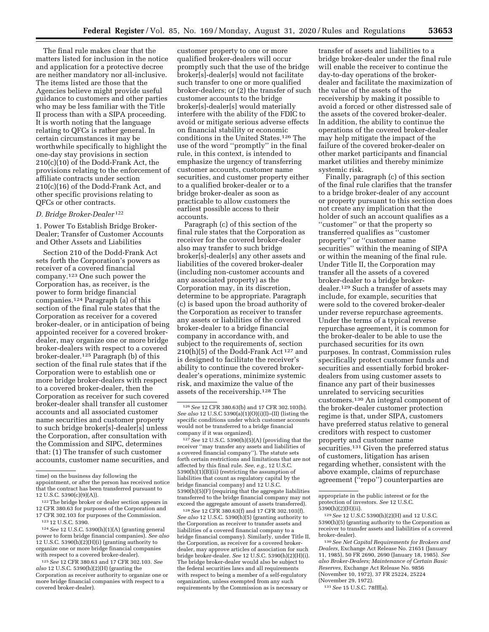The final rule makes clear that the matters listed for inclusion in the notice and application for a protective decree are neither mandatory nor all-inclusive. The items listed are those that the Agencies believe might provide useful guidance to customers and other parties who may be less familiar with the Title II process than with a SIPA proceeding. It is worth noting that the language relating to QFCs is rather general. In certain circumstances it may be worthwhile specifically to highlight the one-day stay provisions in section 210(c)(10) of the Dodd-Frank Act, the provisions relating to the enforcement of affiliate contracts under section 210(c)(16) of the Dodd-Frank Act, and other specific provisions relating to QFCs or other contracts.

## *D. Bridge Broker-Dealer* 122

1. Power To Establish Bridge Broker-Dealer; Transfer of Customer Accounts and Other Assets and Liabilities

Section 210 of the Dodd-Frank Act sets forth the Corporation's powers as receiver of a covered financial company.123 One such power the Corporation has, as receiver, is the power to form bridge financial companies.124 Paragraph (a) of this section of the final rule states that the Corporation as receiver for a covered broker-dealer, or in anticipation of being appointed receiver for a covered brokerdealer, may organize one or more bridge broker-dealers with respect to a covered broker-dealer.125 Paragraph (b) of this section of the final rule states that if the Corporation were to establish one or more bridge broker-dealers with respect to a covered broker-dealer, then the Corporation as receiver for such covered broker-dealer shall transfer all customer accounts and all associated customer name securities and customer property to such bridge broker[s]-dealer[s] unless the Corporation, after consultation with the Commission and SIPC, determines that: (1) The transfer of such customer accounts, customer name securities, and

124*See* 12 U.S.C. 5390(h)(1)(A) (granting general power to form bridge financial companies). *See also*   $12$  U.S.C. 5390(h)(2)(H)(i) (granting authority to organize one or more bridge financial companies with respect to a covered broker-dealer).

customer property to one or more qualified broker-dealers will occur promptly such that the use of the bridge broker[s]-dealer[s] would not facilitate such transfer to one or more qualified broker-dealers; or (2) the transfer of such customer accounts to the bridge broker[s]-dealer[s] would materially interfere with the ability of the FDIC to avoid or mitigate serious adverse effects on financial stability or economic conditions in the United States.126 The use of the word ''promptly'' in the final rule, in this context, is intended to emphasize the urgency of transferring customer accounts, customer name securities, and customer property either to a qualified broker-dealer or to a bridge broker-dealer as soon as practicable to allow customers the earliest possible access to their accounts.

Paragraph (c) of this section of the final rule states that the Corporation as receiver for the covered broker-dealer also may transfer to such bridge broker[s]-dealer[s] any other assets and liabilities of the covered broker-dealer (including non-customer accounts and any associated property) as the Corporation may, in its discretion, determine to be appropriate. Paragraph (c) is based upon the broad authority of the Corporation as receiver to transfer any assets or liabilities of the covered broker-dealer to a bridge financial company in accordance with, and subject to the requirements of, section 210(h)(5) of the Dodd-Frank Act 127 and is designed to facilitate the receiver's ability to continue the covered brokerdealer's operations, minimize systemic risk, and maximize the value of the assets of the receivership.128 The

127*See* 12 U.S.C. 5390(h)(5)(A) (providing that the receiver ''may transfer any assets and liabilities of a covered financial company''). The statute sets forth certain restrictions and limitations that are not affected by this final rule. *See, e.g.,* 12 U.S.C.  $5390(h)(1)(B)(ii)$  (restricting the assumption of liabilities that count as regulatory capital by the bridge financial company) and 12 U.S.C. 5390(h)(5)(F) (requiring that the aggregate liabilities transferred to the bridge financial company may not exceed the aggregate amount of assets transferred).

128*See* 12 CFR 380.63(f) and 17 CFR 302.103(f). *See also* 12 U.S.C. 5390(h)(5) (granting authority to the Corporation as receiver to transfer assets and liabilities of a covered financial company to a bridge financial company). Similarly, under Title II, the Corporation, as receiver for a covered brokerdealer, may approve articles of association for such bridge broker-dealer. *See* 12 U.S.C. 5390(h)(2)(H)(i). The bridge broker-dealer would also be subject to the federal securities laws and all requirements with respect to being a member of a self-regulatory organization, unless exempted from any such requirements by the Commission as is necessary or

transfer of assets and liabilities to a bridge broker-dealer under the final rule will enable the receiver to continue the day-to-day operations of the brokerdealer and facilitate the maximization of the value of the assets of the receivership by making it possible to avoid a forced or other distressed sale of the assets of the covered broker-dealer. In addition, the ability to continue the operations of the covered broker-dealer may help mitigate the impact of the failure of the covered broker-dealer on other market participants and financial market utilities and thereby minimize systemic risk.

Finally, paragraph (c) of this section of the final rule clarifies that the transfer to a bridge broker-dealer of any account or property pursuant to this section does not create any implication that the holder of such an account qualifies as a ''customer'' or that the property so transferred qualifies as ''customer property'' or ''customer name securities'' within the meaning of SIPA or within the meaning of the final rule. Under Title II, the Corporation may transfer all the assets of a covered broker-dealer to a bridge brokerdealer.129 Such a transfer of assets may include, for example, securities that were sold to the covered broker-dealer under reverse repurchase agreements. Under the terms of a typical reverse repurchase agreement, it is common for the broker-dealer to be able to use the purchased securities for its own purposes. In contrast, Commission rules specifically protect customer funds and securities and essentially forbid brokerdealers from using customer assets to finance any part of their businesses unrelated to servicing securities customers.130 An integral component of the broker-dealer customer protection regime is that, under SIPA, customers have preferred status relative to general creditors with respect to customer property and customer name securities.<sup>131</sup> Given the preferred status of customers, litigation has arisen regarding whether, consistent with the above example, claims of repurchase agreement (''repo'') counterparties are

130*See Net Capital Requirements for Brokers and Dealers,* Exchange Act Release No. 21651 (January 11, 1985), 50 FR 2690, 2690 (January 18, 1985). *See also Broker-Dealers; Maintenance of Certain Basic Reserves,* Exchange Act Release No. 9856 (November 10, 1972), 37 FR 25224, 25224 (November 29, 1972).

131*See* 15 U.S.C. 78fff(a).

time) on the business day following the appointment, or after the person has received notice that the contract has been transferred pursuant to

<sup>12</sup> U.S.C. 5390(c)(9)(A)).

<sup>122</sup> The bridge broker or dealer section appears in 12 CFR 380.63 for purposes of the Corporation and 17 CFR 302.103 for purposes of the Commission.

<sup>123</sup> 12 U.S.C. 5390.

<sup>125</sup>*See* 12 CFR 380.63 and 17 CFR 302.103. *See also* 12 U.S.C. 5390(h)(2)(H) (granting the Corporation as receiver authority to organize one or more bridge financial companies with respect to a covered broker-dealer).

<sup>126</sup>*See* 12 CFR 380.63(b) and 17 CFR 302.103(b). *See also* 12 U.S.C 5390(a)(1)(O)(i)(I)–(II) (listing the specific conditions under which customer accounts would not be transferred to a bridge financial company if it was organized).

appropriate in the public interest or for the protection of investors. *See* 12 U.S.C. 5390(h)(2)(H)(ii).

<sup>129</sup>*See* 12 U.S.C 5390(h)(2)(H) and 12 U.S.C. 5390(h)(5) (granting authority to the Corporation as receiver to transfer assets and liabilities of a covered broker-dealer).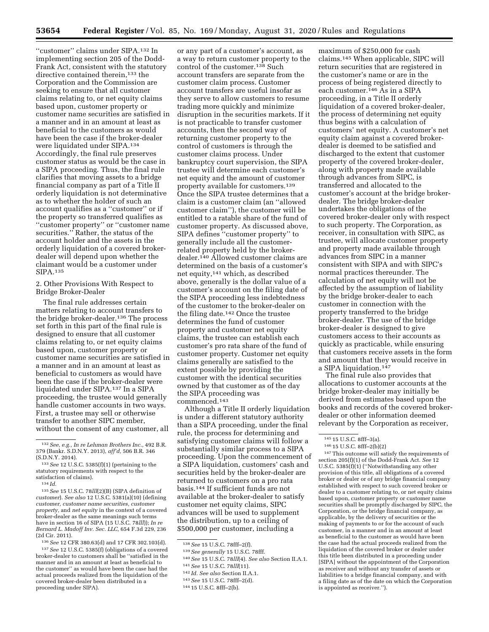''customer'' claims under SIPA.132 In implementing section 205 of the Dodd-Frank Act, consistent with the statutory directive contained therein,<sup>133</sup> the Corporation and the Commission are seeking to ensure that all customer claims relating to, or net equity claims based upon, customer property or customer name securities are satisfied in a manner and in an amount at least as beneficial to the customers as would have been the case if the broker-dealer were liquidated under SIPA.134 Accordingly, the final rule preserves customer status as would be the case in a SIPA proceeding. Thus, the final rule clarifies that moving assets to a bridge financial company as part of a Title II orderly liquidation is not determinative as to whether the holder of such an account qualifies as a ''customer'' or if the property so transferred qualifies as ''customer property'' or ''customer name securities.'' Rather, the status of the account holder and the assets in the orderly liquidation of a covered brokerdealer will depend upon whether the claimant would be a customer under SIPA.135

2. Other Provisions With Respect to Bridge Broker-Dealer

The final rule addresses certain matters relating to account transfers to the bridge broker-dealer.136 The process set forth in this part of the final rule is designed to ensure that all customer claims relating to, or net equity claims based upon, customer property or customer name securities are satisfied in a manner and in an amount at least as beneficial to customers as would have been the case if the broker-dealer were liquidated under SIPA.137 In a SIPA proceeding, the trustee would generally handle customer accounts in two ways. First, a trustee may sell or otherwise transfer to another SIPC member, without the consent of any customer, all

135*See* 15 U.S.C. 78*lll*(2)(B) (SIPA definition of *customer*). *See also* 12 U.S.C. 5381(a)(10) (defining *customer, customer name securities, customer property,* and *net equity* in the context of a covered broker-dealer as the same meanings such terms have in section 16 of SIPA (15 U.S.C. 78*lll*)); *In re Bernard L. Madoff Inv. Sec. LLC,* 654 F.3d 229, 236 (2d Cir. 2011).

136*See* 12 CFR 380.63(d) and 17 CFR 302.103(d). 137*See* 12 U.S.C. 5385(f) (obligations of a covered broker-dealer to customers shall be ''satisfied in the manner and in an amount at least as beneficial to the customer'' as would have been the case had the actual proceeds realized from the liquidation of the covered broker-dealer been distributed in a proceeding under SIPA).

or any part of a customer's account, as a way to return customer property to the control of the customer.138 Such account transfers are separate from the customer claim process. Customer account transfers are useful insofar as they serve to allow customers to resume trading more quickly and minimize disruption in the securities markets. If it is not practicable to transfer customer accounts, then the second way of returning customer property to the control of customers is through the customer claims process. Under bankruptcy court supervision, the SIPA trustee will determine each customer's net equity and the amount of customer property available for customers.139 Once the SIPA trustee determines that a claim is a customer claim (an ''allowed customer claim''), the customer will be entitled to a ratable share of the fund of customer property. As discussed above, SIPA defines ''customer property'' to generally include all the customerrelated property held by the brokerdealer.140 Allowed customer claims are determined on the basis of a customer's net equity,141 which, as described above, generally is the dollar value of a customer's account on the filing date of the SIPA proceeding less indebtedness of the customer to the broker-dealer on the filing date.142 Once the trustee determines the fund of customer property and customer net equity claims, the trustee can establish each customer's pro rata share of the fund of customer property. Customer net equity claims generally are satisfied to the extent possible by providing the customer with the identical securities owned by that customer as of the day the SIPA proceeding was commenced.143

Although a Title II orderly liquidation is under a different statutory authority than a SIPA proceeding, under the final rule, the process for determining and satisfying customer claims will follow a substantially similar process to a SIPA proceeding. Upon the commencement of a SIPA liquidation, customers' cash and securities held by the broker-dealer are returned to customers on a pro rata basis.144 If sufficient funds are not available at the broker-dealer to satisfy customer net equity claims, SIPC advances will be used to supplement the distribution, up to a ceiling of \$500,000 per customer, including a

- 141*See* 15 U.S.C. 78*lll*(11).
- 142 *Id. See also* Section II.A.1.

maximum of \$250,000 for cash claims.145 When applicable, SIPC will return securities that are registered in the customer's name or are in the process of being registered directly to each customer.146 As in a SIPA proceeding, in a Title II orderly liquidation of a covered broker-dealer, the process of determining net equity thus begins with a calculation of customers' net equity. A customer's net equity claim against a covered brokerdealer is deemed to be satisfied and discharged to the extent that customer property of the covered broker-dealer, along with property made available through advances from SIPC, is transferred and allocated to the customer's account at the bridge brokerdealer. The bridge broker-dealer undertakes the obligations of the covered broker-dealer only with respect to such property. The Corporation, as receiver, in consultation with SIPC, as trustee, will allocate customer property and property made available through advances from SIPC in a manner consistent with SIPA and with SIPC's normal practices thereunder. The calculation of net equity will not be affected by the assumption of liability by the bridge broker-dealer to each customer in connection with the property transferred to the bridge broker-dealer. The use of the bridge broker-dealer is designed to give customers access to their accounts as quickly as practicable, while ensuring that customers receive assets in the form and amount that they would receive in a SIPA liquidation.147

The final rule also provides that allocations to customer accounts at the bridge broker-dealer may initially be derived from estimates based upon the books and records of the covered brokerdealer or other information deemed relevant by the Corporation as receiver,

147This outcome will satisfy the requirements of section 205(f)(1) of the Dodd-Frank Act. *See* 12 U.S.C. 5385(f)(1) (''Notwithstanding any other provision of this title, all obligations of a covered broker or dealer or of any bridge financial company established with respect to such covered broker or dealer to a customer relating to, or net equity claims based upon, customer property or customer name securities shall be promptly discharged by SIPC, the Corporation, or the bridge financial company, as applicable, by the delivery of securities or the making of payments to or for the account of such customer, in a manner and in an amount at least as beneficial to the customer as would have been the case had the actual proceeds realized from the liquidation of the covered broker or dealer under this title been distributed in a proceeding under [SIPA] without the appointment of the Corporation as receiver and without any transfer of assets or liabilities to a bridge financial company, and with a filing date as of the date on which the Corporation is appointed as receiver.'').

<sup>132</sup>*See, e.g., In re Lehman Brothers Inc.,* 492 B.R. 379 (Bankr. S.D.N.Y. 2013), *aff'd,* 506 B.R. 346 (S.D.N.Y. 2014).

<sup>133</sup>*See* 12 U.S.C. 5385(f)(1) (pertaining to the statutory requirements with respect to the satisfaction of claims).

<sup>134</sup> *Id.* 

<sup>138</sup>*See* 15 U.S.C. 78fff–2(f).

<sup>139</sup>*See generally* 15 U.S.C. 78fff. 140*See* 15 U.S.C. 78*lll*(4). *See also* Section II.A.1.

<sup>143</sup>*See* 15 U.S.C. 78fff–2(d).

<sup>144</sup> 15 U.S.C. 8fff–2(b).

<sup>145</sup> 15 U.S.C. 8fff–3(a).

<sup>146</sup> 15 U.S.C. 8fff–2(b)(2)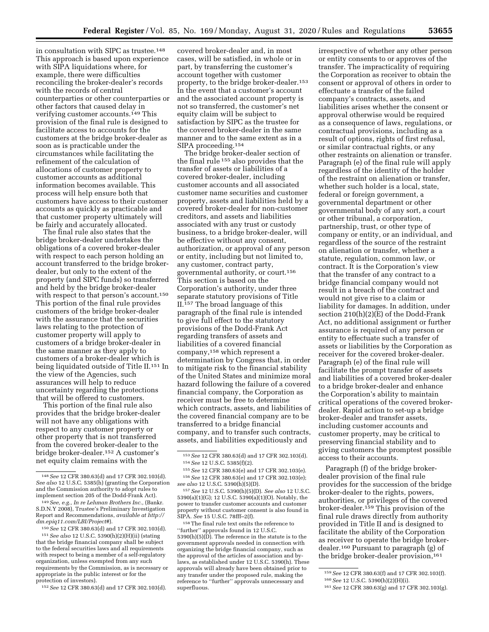in consultation with SIPC as trustee.<sup>148</sup> This approach is based upon experience with SIPA liquidations where, for example, there were difficulties reconciling the broker-dealer's records with the records of central counterparties or other counterparties or other factors that caused delay in verifying customer accounts.149 This provision of the final rule is designed to facilitate access to accounts for the customers at the bridge broker-dealer as soon as is practicable under the circumstances while facilitating the refinement of the calculation of allocations of customer property to customer accounts as additional information becomes available. This process will help ensure both that customers have access to their customer accounts as quickly as practicable and that customer property ultimately will be fairly and accurately allocated.

The final rule also states that the bridge broker-dealer undertakes the obligations of a covered broker-dealer with respect to each person holding an account transferred to the bridge brokerdealer, but only to the extent of the property (and SIPC funds) so transferred and held by the bridge broker-dealer with respect to that person's account.150 This portion of the final rule provides customers of the bridge broker-dealer with the assurance that the securities laws relating to the protection of customer property will apply to customers of a bridge broker-dealer in the same manner as they apply to customers of a broker-dealer which is being liquidated outside of Title II.151 In the view of the Agencies, such assurances will help to reduce uncertainty regarding the protections that will be offered to customers.

This portion of the final rule also provides that the bridge broker-dealer will not have any obligations with respect to any customer property or other property that is not transferred from the covered broker-dealer to the bridge broker-dealer.152 A customer's net equity claim remains with the

152*See* 12 CFR 380.63(d) and 17 CFR 302.103(d).

covered broker-dealer and, in most cases, will be satisfied, in whole or in part, by transferring the customer's account together with customer property, to the bridge broker-dealer.153 In the event that a customer's account and the associated account property is not so transferred, the customer's net equity claim will be subject to satisfaction by SIPC as the trustee for the covered broker-dealer in the same manner and to the same extent as in a SIPA proceeding.154

The bridge broker-dealer section of the final rule 155 also provides that the transfer of assets or liabilities of a covered broker-dealer, including customer accounts and all associated customer name securities and customer property, assets and liabilities held by a covered broker-dealer for non-customer creditors, and assets and liabilities associated with any trust or custody business, to a bridge broker-dealer, will be effective without any consent, authorization, or approval of any person or entity, including but not limited to, any customer, contract party, governmental authority, or court.156 This section is based on the Corporation's authority, under three separate statutory provisions of Title II.157 The broad language of this paragraph of the final rule is intended to give full effect to the statutory provisions of the Dodd-Frank Act regarding transfers of assets and liabilities of a covered financial company,158 which represent a determination by Congress that, in order to mitigate risk to the financial stability of the United States and minimize moral hazard following the failure of a covered financial company, the Corporation as receiver must be free to determine which contracts, assets, and liabilities of the covered financial company are to be transferred to a bridge financial company, and to transfer such contracts, assets, and liabilities expeditiously and

158The final rule text omits the reference to ''further'' approvals found in 12 U.S.C.  $5390(h)(5)(D)$ . The reference in the statute is to the government approvals needed in connection with organizing the bridge financial company, such as the approval of the articles of association and bylaws, as established under 12 U.S.C. 5390(h). These approvals will already have been obtained prior to any transfer under the proposed rule, making the reference to ''further'' approvals unnecessary and superfluous.

irrespective of whether any other person or entity consents to or approves of the transfer. The impracticality of requiring the Corporation as receiver to obtain the consent or approval of others in order to effectuate a transfer of the failed company's contracts, assets, and liabilities arises whether the consent or approval otherwise would be required as a consequence of laws, regulations, or contractual provisions, including as a result of options, rights of first refusal, or similar contractual rights, or any other restraints on alienation or transfer. Paragraph (e) of the final rule will apply regardless of the identity of the holder of the restraint on alienation or transfer, whether such holder is a local, state, federal or foreign government, a governmental department or other governmental body of any sort, a court or other tribunal, a corporation, partnership, trust, or other type of company or entity, or an individual, and regardless of the source of the restraint on alienation or transfer, whether a statute, regulation, common law, or contract. It is the Corporation's view that the transfer of any contract to a bridge financial company would not result in a breach of the contract and would not give rise to a claim or liability for damages. In addition, under section 210(h)(2)(E) of the Dodd-Frank Act, no additional assignment or further assurance is required of any person or entity to effectuate such a transfer of assets or liabilities by the Corporation as receiver for the covered broker-dealer. Paragraph (e) of the final rule will facilitate the prompt transfer of assets and liabilities of a covered broker-dealer to a bridge broker-dealer and enhance the Corporation's ability to maintain critical operations of the covered brokerdealer. Rapid action to set-up a bridge broker-dealer and transfer assets, including customer accounts and customer property, may be critical to preserving financial stability and to giving customers the promptest possible access to their accounts.

Paragraph (f) of the bridge brokerdealer provision of the final rule provides for the succession of the bridge broker-dealer to the rights, powers, authorities, or privileges of the covered broker-dealer.159 This provision of the final rule draws directly from authority provided in Title II and is designed to facilitate the ability of the Corporation as receiver to operate the bridge brokerdealer.160 Pursuant to paragraph (g) of the bridge broker-dealer provision,<sup>161</sup>

<sup>148</sup>*See* 12 CFR 380.63(d) and 17 CFR 302.103(d). *See also* 12 U.S.C. 5385(h) (granting the Corporation and the Commission authority to adopt rules to implement section 205 of the Dodd-Frank Act).

<sup>149</sup>*See, e.g., In re Lehman Brothers Inc.,* (Bankr. S.D.N.Y 2008), Trustee's Preliminary Investigation Report and Recommendations, *available at [http://](http://dm.epiq11.com/LBI/Project#)  [dm.epiq11.com/LBI/Project#](http://dm.epiq11.com/LBI/Project#)*).

<sup>150</sup>*See* 12 CFR 380.63(d) and 17 CFR 302.103(d).

<sup>151</sup>*See also* 12 U.S.C. 5390(h)(2)(H)(ii) (stating that the bridge financial company shall be subject to the federal securities laws and all requirements with respect to being a member of a self-regulatory organization, unless exempted from any such requirements by the Commission, as is necessary or appropriate in the public interest or for the protection of investors).

<sup>153</sup>*See* 12 CFR 380.63(d) and 17 CFR 302.103(d). 154*See* 12 U.S.C. 5385(f)(2).

<sup>155</sup>*See* 12 CFR 380.63(e) and 17 CFR 302.103(e). 156*See* 12 CFR 380.63(e) and 17 CFR 302.103(e); *see also* 12 U.S.C. 5390(h)(5)(D).

<sup>157</sup>*See* 12 U.S.C. 5390(h)(5)(D). *See also* 12 U.S.C. 5390(a)(1)(G); 12 U.S.C. 5390(a)(1)(O). Notably, the power to transfer customer accounts and customer property without customer consent is also found in SIPA. *See* 15 U.S.C. 78fff–2(f).

<sup>159</sup>*See* 12 CFR 380.63(f) and 17 CFR 302.103(f). 160*See* 12 U.S.C. 5390(h)(2)(H)(i).

<sup>161</sup>*See* 12 CFR 380.63(g) and 17 CFR 302.103(g).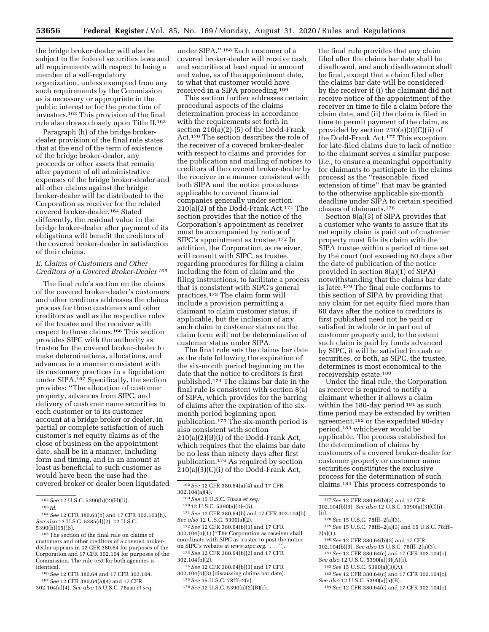the bridge broker-dealer will also be subject to the federal securities laws and all requirements with respect to being a member of a self-regulatory organization, unless exempted from any such requirements by the Commission as is necessary or appropriate in the public interest or for the protection of investors.162 This provision of the final rule also draws closely upon Title II.163

Paragraph (h) of the bridge brokerdealer provision of the final rule states that at the end of the term of existence of the bridge broker-dealer, any proceeds or other assets that remain after payment of all administrative expenses of the bridge broker-dealer and all other claims against the bridge broker-dealer will be distributed to the Corporation as receiver for the related covered broker-dealer.164 Stated differently, the residual value in the bridge broker-dealer after payment of its obligations will benefit the creditors of the covered broker-dealer in satisfaction of their claims.

#### *E. Claims of Customers and Other Creditors of a Covered Broker-Dealer 165*

The final rule's section on the claims of the covered broker-dealer's customers and other creditors addresses the claims process for those customers and other creditors as well as the respective roles of the trustee and the receiver with respect to those claims.166 This section provides SIPC with the authority as trustee for the covered broker-dealer to make determinations, allocations, and advances in a manner consistent with its customary practices in a liquidation under SIPA.<sup>167</sup> Specifically, the section provides: ''The allocation of customer property, advances from SIPC, and delivery of customer name securities to each customer or to its customer account at a bridge broker or dealer, in partial or complete satisfaction of such customer's net equity claims as of the close of business on the appointment date, shall be in a manner, including form and timing, and in an amount at least as beneficial to such customer as would have been the case had the covered broker or dealer been liquidated

166*See* 12 CFR 380.64 and 17 CFR 302.104.

167*See* 12 CFR 380.64(a)(4) and 17 CFR 302.104(a)(4). *See also* 15 U.S.C. 78aaa *et seq.* 

under SIPA.'' 168 Each customer of a covered broker-dealer will receive cash and securities at least equal in amount and value, as of the appointment date, to what that customer would have received in a SIPA proceeding.169

This section further addresses certain procedural aspects of the claims determination process in accordance with the requirements set forth in section 210(a)(2)-(5) of the Dodd-Frank Act.170 The section describes the role of the receiver of a covered broker-dealer with respect to claims and provides for the publication and mailing of notices to creditors of the covered broker-dealer by the receiver in a manner consistent with both SIPA and the notice procedures applicable to covered financial companies generally under section 210(a)(2) of the Dodd-Frank Act.171 The section provides that the notice of the Corporation's appointment as receiver must be accompanied by notice of SIPC's appointment as trustee.172 In addition, the Corporation, as receiver, will consult with SIPC, as trustee, regarding procedures for filing a claim including the form of claim and the filing instructions, to facilitate a process that is consistent with SIPC's general practices.173 The claim form will include a provision permitting a claimant to claim customer status, if applicable, but the inclusion of any such claim to customer status on the claim form will not be determinative of customer status under SIPA.

The final rule sets the claims bar date as the date following the expiration of the six-month period beginning on the date that the notice to creditors is first published.174 The claims bar date in the final rule is consistent with section 8(a) of SIPA, which provides for the barring of claims after the expiration of the sixmonth period beginning upon publication.175 The six-month period is also consistent with section 210(a)(2)(B)(i) of the Dodd-Frank Act, which requires that the claims bar date be no less than ninety days after first publication.176 As required by section  $210(a)(3)(C)(i)$  of the Dodd-Frank Act,

168*See* 12 CFR 380.64(a)(4) and 17 CFR 302.104(a)(4).

171*See* 12 CFR 380.64(b) and 17 CFR 302.104(b). *See also* 12 U.S.C. 5390(a)(2).

173*See* 12 CFR 380.64(b)(2) and 17 CFR 302.104(b)(2).

174*See* 12 CFR 380.64(b)(3) and 17 CFR 302.104(b)(3) (discussing claims bar date).

175*See* 15 U.S.C. 78fff–2(a).

the final rule provides that any claim filed after the claims bar date shall be disallowed, and such disallowance shall be final, except that a claim filed after the claims bar date will be considered by the receiver if (i) the claimant did not receive notice of the appointment of the receiver in time to file a claim before the claim date, and (ii) the claim is filed in time to permit payment of the claim, as provided by section 210(a)(3)(C)(ii) of the Dodd-Frank Act.177 This exception for late-filed claims due to lack of notice to the claimant serves a similar purpose (*i.e.,* to ensure a meaningful opportunity for claimants to participate in the claims process) as the ''reasonable, fixed extension of time'' that may be granted to the otherwise applicable six-month deadline under SIPA to certain specified classes of claimants.178

Section 8(a)(3) of SIPA provides that a customer who wants to assure that its net equity claim is paid out of customer property must file its claim with the SIPA trustee within a period of time set by the court (not exceeding 60 days after the date of publication of the notice provided in section 8(a)(1) of SIPA) notwithstanding that the claims bar date is later.179 The final rule conforms to this section of SIPA by providing that any claim for net equity filed more than 60 days after the notice to creditors is first published need not be paid or satisfied in whole or in part out of customer property and, to the extent such claim is paid by funds advanced by SIPC, it will be satisfied in cash or securities, or both, as SIPC, the trustee, determines is most economical to the receivership estate.180

Under the final rule, the Corporation as receiver is required to notify a claimant whether it allows a claim within the 180-day period <sup>181</sup> as such time period may be extended by written agreement,182 or the expedited 90-day period,183 whichever would be applicable. The process established for the determination of claims by customers of a covered broker-dealer for customer property or customer name securities constitutes the exclusive process for the determination of such claims.184 This process corresponds to

<sup>178</sup> See 15 U.S.C. 78fff-2(a)(3).

- 180*See* 12 CFR 380.64(b)(3) and 17 CFR
- 302.104(b)(3). *See also* 15 U.S.C. 78fff–2(a)(3).
- 181*See* 12 CFR 380.64(c) and 17 CFR 302.104(c). *See also* 12 U.S.C. 5390(a)(3)(A)(i).

182*See* 15 U.S.C. 5390(a)(3)(A).

- 183*See* 12 CFR 380.64(c) and 17 CFR 302.104(c). *See also* 12 U.S.C. 5390(a)(5)(B).
- 184*See* 12 CFR 380.64(c) and 17 CFR 302.104(c).

<sup>162</sup>*See* 12 U.S.C. 5390(h)(2)(H)(ii).

<sup>163</sup> *Id.* 

<sup>164</sup>*See* 12 CFR 380.63(h) and 17 CFR 302.103(h). *See also* 12 U.S.C. 5385(d)(2); 12 U.S.C. 5390(h)(15)(B).

<sup>165</sup>The section of the final rule on claims of customers and other creditors of a covered brokerdealer appears in 12 CFR 380.64 for purposes of the Corporation and 17 CFR 302.104 for purposes of the Commission. The rule text for both agencies is identical.

<sup>169</sup>*See* 15 U.S.C. 78aaa *et seq.* 

<sup>170</sup> 12 U.S.C. 5390(a)(2)–(5).

<sup>172</sup>*See* 12 CFR 380.64(b)(1) and 17 CFR 302.104(b)(1) (''The Corporation as receiver shall coordinate with SIPC as trustee to post the notice on SIPC's website at *[www.sipc.org.](http://www.sipc.org)* . . .'').

<sup>176</sup>*See* 12 U.S.C. 5390(a)(2)(B)(i).

<sup>177</sup>*See* 12 CFR 380.64(b)(3) and 17 CFR 302.104(b)(3). *See also* 12 U.S.C. 5390(a)(3)(C)(i)–

<sup>179</sup>*See* 15 U.S.C. 78fff–2(a)(3) and 15 U.S.C. 78fff–  $2(a)(1)$ .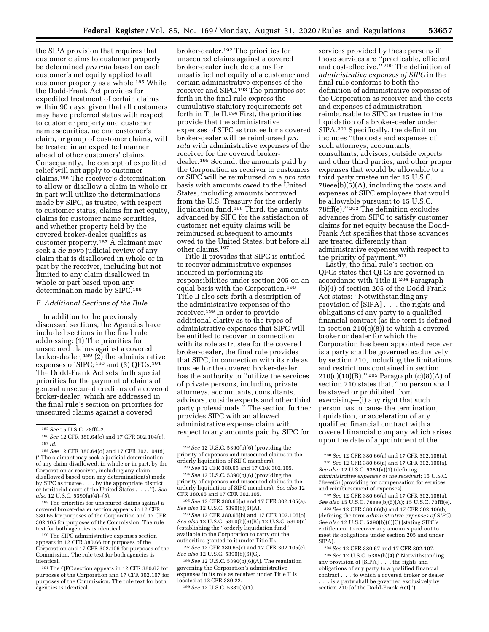the SIPA provision that requires that customer claims to customer property be determined *pro rata* based on each customer's net equity applied to all customer property as a whole.185 While the Dodd-Frank Act provides for expedited treatment of certain claims within 90 days, given that all customers may have preferred status with respect to customer property and customer name securities, no one customer's claim, or group of customer claims, will be treated in an expedited manner ahead of other customers' claims. Consequently, the concept of expedited relief will not apply to customer claims.186 The receiver's determination to allow or disallow a claim in whole or in part will utilize the determinations made by SIPC, as trustee, with respect to customer status, claims for net equity, claims for customer name securities, and whether property held by the covered broker-dealer qualifies as customer property.187 A claimant may seek a *de novo* judicial review of any claim that is disallowed in whole or in part by the receiver, including but not limited to any claim disallowed in whole or part based upon any determination made by SIPC.188

#### *F. Additional Sections of the Rule*

In addition to the previously discussed sections, the Agencies have included sections in the final rule addressing: (1) The priorities for unsecured claims against a covered broker-dealer; 189 (2) the administrative expenses of SIPC; <sup>190</sup> and (3) QFCs.<sup>191</sup> The Dodd-Frank Act sets forth special priorities for the payment of claims of general unsecured creditors of a covered broker-dealer, which are addressed in the final rule's section on priorities for unsecured claims against a covered

189The priorities for unsecured claims against a covered broker-dealer section appears in 12 CFR 380.65 for purposes of the Corporation and 17 CFR 302.105 for purposes of the Commission. The rule text for both agencies is identical.

190The SIPC administrative expenses section appears in 12 CFR 380.66 for purposes of the Corporation and 17 CFR 302.106 for purposes of the Commission. The rule text for both agencies is identical.

191The QFC section appears in 12 CFR 380.67 for purposes of the Corporation and 17 CFR 302.107 for purposes of the Commission. The rule text for both agencies is identical.

broker-dealer.192 The priorities for unsecured claims against a covered broker-dealer include claims for unsatisfied net equity of a customer and certain administrative expenses of the receiver and SIPC.193 The priorities set forth in the final rule express the cumulative statutory requirements set forth in Title II.194 First, the priorities provide that the administrative expenses of SIPC as trustee for a covered broker-dealer will be reimbursed *pro rata* with administrative expenses of the receiver for the covered brokerdealer.195 Second, the amounts paid by the Corporation as receiver to customers or SIPC will be reimbursed on a *pro rata*  basis with amounts owed to the United States, including amounts borrowed from the U.S. Treasury for the orderly liquidation fund.196 Third, the amounts advanced by SIPC for the satisfaction of customer net equity claims will be reimbursed subsequent to amounts owed to the United States, but before all other claims.197

Title II provides that SIPC is entitled to recover administrative expenses incurred in performing its responsibilities under section 205 on an equal basis with the Corporation.198 Title II also sets forth a description of the administrative expenses of the receiver.199 In order to provide additional clarity as to the types of administrative expenses that SIPC will be entitled to recover in connection with its role as trustee for the covered broker-dealer, the final rule provides that SIPC, in connection with its role as trustee for the covered broker-dealer, has the authority to ''utilize the services of private persons, including private attorneys, accountants, consultants, advisors, outside experts and other third party professionals.'' The section further provides SIPC with an allowed administrative expense claim with respect to any amounts paid by SIPC for

193*See* 12 CFR 380.65 and 17 CFR 302.105. 194*See* 12 U.S.C. 5390(b)(6) (providing the priority of expenses and unsecured claims in the orderly liquidation of SIPC members). *See also* 12 CFR 380.65 and 17 CFR 302.105.

196*See* 12 CFR 380.65(b) and 17 CFR 302.105(b). *See also* 12 U.S.C. 5390(b)(6)(B); 12 U.S.C. 5390(n) (establishing the ''orderly liquidation fund'' available to the Corporation to carry out the authorities granted to it under Title II).

197*See* 12 CFR 380.65(c) and 17 CFR 302.105(c). *See also* 12 U.S.C. 5390(b)(6)(C).

198*See* 12 U.S.C. 5390(b)(6)(A). The regulation governing the Corporation's administrative expenses in its role as receiver under Title II is located at 12 CFR 380.22. 199*See* 12 U.S.C. 5381(a)(1).

services provided by these persons if those services are ''practicable, efficient and cost-effective.'' 200 The definition of *administrative expenses of SIPC* in the final rule conforms to both the definition of administrative expenses of the Corporation as receiver and the costs and expenses of administration reimbursable to SIPC as trustee in the liquidation of a broker-dealer under SIPA.201 Specifically, the definition includes ''the costs and expenses of such attorneys, accountants, consultants, advisors, outside experts and other third parties, and other proper expenses that would be allowable to a third party trustee under 15 U.S.C. 78eee(b)(5)(A), including the costs and expenses of SIPC employees that would be allowable pursuant to 15 U.S.C. 78fff(e).'' 202 The definition excludes advances from SIPC to satisfy customer claims for net equity because the Dodd-Frank Act specifies that those advances are treated differently than administrative expenses with respect to the priority of payment.203

Lastly, the final rule's section on QFCs states that QFCs are governed in accordance with Title II.204 Paragraph (b)(4) of section 205 of the Dodd-Frank Act states: ''Notwithstanding any provision of [SIPA] . . . the rights and obligations of any party to a qualified financial contract (as the term is defined in section 210(c)(8)) to which a covered broker or dealer for which the Corporation has been appointed receiver is a party shall be governed exclusively by section 210, including the limitations and restrictions contained in section 210(c)(10)(B).'' 205 Paragraph (c)(8)(A) of section 210 states that, ''no person shall be stayed or prohibited from exercising—(i) any right that such person has to cause the termination, liquidation, or acceleration of any qualified financial contract with a covered financial company which arises upon the date of appointment of the

202*See* 12 CFR 380.66(a) and 17 CFR 302.106(a). *See also* 15 U.S.C. 78eee(b)(5)(A); 15 U.S.C. 78fff(e).

203*See* 12 CFR 380.66(b) and 17 CFR 302.106(b) (defining the term *administrative expenses of SIPC*). *See also* 12 U.S.C. 5390(b)(6)(C) (stating SIPC's entitlement to recover any amounts paid out to meet its obligations under section 205 and under SIPA).

204*See* 12 CFR 380.67 and 17 CFR 302.107. 205*See* 12 U.S.C. 5385(b)(4) (''Notwithstanding any provision of [SIPA] . . . the rights and obligations of any party to a qualified financial contract . . . to which a covered broker or dealer . . . is a party shall be governed exclusively by section 210 [of the Dodd-Frank Act]'').

<sup>185</sup>*See* 15 U.S.C. 78fff–2.

<sup>186</sup>*See* 12 CFR 380.64(c) and 17 CFR 302.104(c). 187 *Id.* 

<sup>188</sup>*See* 12 CFR 380.64(d) and 17 CFR 302.104(d) (''The claimant may seek a judicial determination of any claim disallowed, in whole or in part, by the Corporation as receiver, including any claim disallowed based upon any determination(s) made by SIPC as trustee . . . by the appropriate district or territorial court of the United States . . . .''). *See also* 12 U.S.C. 5390(a)(4)–(5).

<sup>192</sup>*See* 12 U.S.C. 5390(b)(6) (providing the priority of expenses and unsecured claims in the orderly liquidation of SIPC members).

<sup>195</sup>*See* 12 CFR 380.65(a) and 17 CFR 302.105(a). *See also* 12 U.S.C. 5390(b)(6)(A).

<sup>200</sup>*See* 12 CFR 380.66(a) and 17 CFR 302.106(a). 201*See* 12 CFR 380.66(a) and 17 CFR 302.106(a). *See also* 12 U.S.C. 5381(a)(1) (defining

*administrative expenses of the receiver*); 15 U.S.C. 78eee(5) (providing for compensation for services and reimbursement of expenses).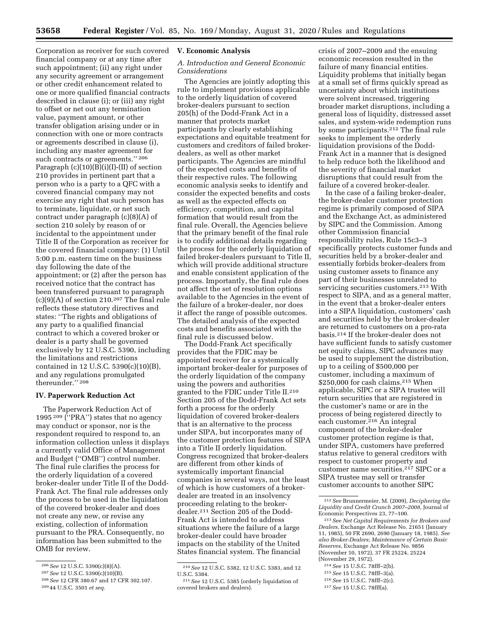Corporation as receiver for such covered financial company or at any time after such appointment; (ii) any right under any security agreement or arrangement or other credit enhancement related to one or more qualified financial contracts described in clause (i); or (iii) any right to offset or net out any termination value, payment amount, or other transfer obligation arising under or in connection with one or more contracts or agreements described in clause (i), including any master agreement for such contracts or agreements.'' 206 Paragraph  $(c)(10)(B)(i)(I)-(II)$  of section 210 provides in pertinent part that a person who is a party to a QFC with a covered financial company may not exercise any right that such person has to terminate, liquidate, or net such contract under paragraph (c)(8)(A) of section 210 solely by reason of or incidental to the appointment under Title II of the Corporation as receiver for the covered financial company: (1) Until 5:00 p.m. eastern time on the business day following the date of the appointment; or (2) after the person has received notice that the contract has been transferred pursuant to paragraph  $(c)(9)(A)$  of section 210.<sup>207</sup> The final rule reflects these statutory directives and states: ''The rights and obligations of any party to a qualified financial contract to which a covered broker or dealer is a party shall be governed exclusively by 12 U.S.C. 5390, including the limitations and restrictions contained in 12 U.S.C. 5390(c)(10)(B), and any regulations promulgated thereunder.'' 208

#### **IV. Paperwork Reduction Act**

The Paperwork Reduction Act of 1995 209 (''PRA'') states that no agency may conduct or sponsor, nor is the respondent required to respond to, an information collection unless it displays a currently valid Office of Management and Budget (''OMB'') control number. The final rule clarifies the process for the orderly liquidation of a covered broker-dealer under Title II of the Dodd-Frank Act. The final rule addresses only the process to be used in the liquidation of the covered broker-dealer and does not create any new, or revise any existing, collection of information pursuant to the PRA. Consequently, no information has been submitted to the OMB for review.

#### **V. Economic Analysis**

## *A. Introduction and General Economic Considerations*

The Agencies are jointly adopting this rule to implement provisions applicable to the orderly liquidation of covered broker-dealers pursuant to section 205(h) of the Dodd-Frank Act in a manner that protects market participants by clearly establishing expectations and equitable treatment for customers and creditors of failed brokerdealers, as well as other market participants. The Agencies are mindful of the expected costs and benefits of their respective rules. The following economic analysis seeks to identify and consider the expected benefits and costs as well as the expected effects on efficiency, competition, and capital formation that would result from the final rule. Overall, the Agencies believe that the primary benefit of the final rule is to codify additional details regarding the process for the orderly liquidation of failed broker-dealers pursuant to Title II, which will provide additional structure and enable consistent application of the process. Importantly, the final rule does not affect the set of resolution options available to the Agencies in the event of the failure of a broker-dealer, nor does it affect the range of possible outcomes. The detailed analysis of the expected costs and benefits associated with the final rule is discussed below.

The Dodd-Frank Act specifically provides that the FDIC may be appointed receiver for a systemically important broker-dealer for purposes of the orderly liquidation of the company using the powers and authorities granted to the FDIC under Title II.210 Section 205 of the Dodd-Frank Act sets forth a process for the orderly liquidation of covered broker-dealers that is an alternative to the process under SIPA, but incorporates many of the customer protection features of SIPA into a Title II orderly liquidation. Congress recognized that broker-dealers are different from other kinds of systemically important financial companies in several ways, not the least of which is how customers of a brokerdealer are treated in an insolvency proceeding relating to the brokerdealer.211 Section 205 of the Dodd-Frank Act is intended to address situations where the failure of a large broker-dealer could have broader impacts on the stability of the United States financial system. The financial

crisis of 2007–2009 and the ensuing economic recession resulted in the failure of many financial entities. Liquidity problems that initially began at a small set of firms quickly spread as uncertainty about which institutions were solvent increased, triggering broader market disruptions, including a general loss of liquidity, distressed asset sales, and system-wide redemption runs by some participants.212 The final rule seeks to implement the orderly liquidation provisions of the Dodd-Frank Act in a manner that is designed to help reduce both the likelihood and the severity of financial market disruptions that could result from the failure of a covered broker-dealer.

In the case of a failing broker-dealer, the broker-dealer customer protection regime is primarily composed of SIPA and the Exchange Act, as administered by SIPC and the Commission. Among other Commission financial responsibility rules, Rule 15c3–3 specifically protects customer funds and securities held by a broker-dealer and essentially forbids broker-dealers from using customer assets to finance any part of their businesses unrelated to servicing securities customers.213 With respect to SIPA, and as a general matter, in the event that a broker-dealer enters into a SIPA liquidation, customers' cash and securities held by the broker-dealer are returned to customers on a pro-rata basis.214 If the broker-dealer does not have sufficient funds to satisfy customer net equity claims, SIPC advances may be used to supplement the distribution, up to a ceiling of \$500,000 per customer, including a maximum of \$250,000 for cash claims.<sup>215</sup> When applicable, SIPC or a SIPA trustee will return securities that are registered in the customer's name or are in the process of being registered directly to each customer.<sup>216</sup> An integral component of the broker-dealer customer protection regime is that, under SIPA, customers have preferred status relative to general creditors with respect to customer property and customer name securities.217 SIPC or a SIPA trustee may sell or transfer customer accounts to another SIPC

- 214*See* 15 U.S.C. 78fff–2(b).
- 215*See* 15 U.S.C. 78fff–3(a).
- 216*See* 15 U.S.C. 78fff–2(c).

<sup>206</sup>*See* 12 U.S.C. 5390(c)(8)(A).

<sup>207</sup>*See* 12 U.S.C. 5390(c)(10)(B).

<sup>208</sup>*See* 12 CFR 380.67 and 17 CFR 302.107.

<sup>209</sup> 44 U.S.C. 3501 *et seq.* 

<sup>210</sup>*See* 12 U.S.C. 5382, 12 U.S.C. 5383, and 12 U.S.C. 5384.

<sup>211</sup>*See* 12 U.S.C. 5385 (orderly liquidation of covered brokers and dealers).

<sup>212</sup>*See* Brunnermeier, M. (2009), *Deciphering the Liquidity and Credit Crunch 2007–2008,* Journal of Economic Perspectives 23, 77–100.

<sup>213</sup>*See Net Capital Requirements for Brokers and Dealers,* Exchange Act Release No. 21651 (January 11, 1985), 50 FR 2690, 2690 (January 18, 1985). *See also Broker-Dealers; Maintenance of Certain Basic Reserves,* Exchange Act Release No. 9856 (November 10, 1972), 37 FR 25224, 25224 (November 29, 1972).

<sup>217</sup>*See* 15 U.S.C. 78fff(a).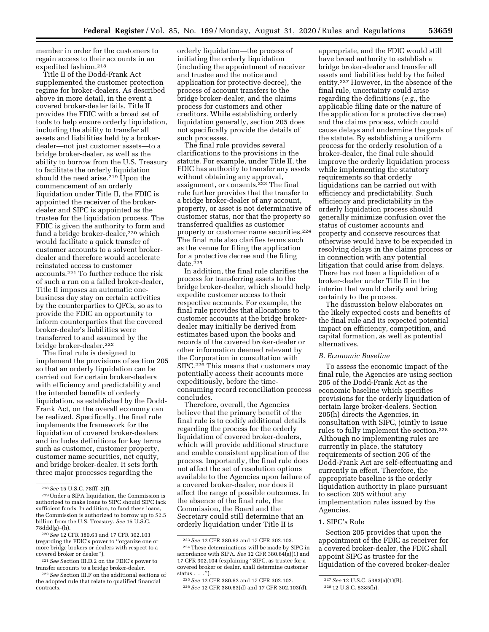member in order for the customers to regain access to their accounts in an expedited fashion.218

Title II of the Dodd-Frank Act supplemented the customer protection regime for broker-dealers. As described above in more detail, in the event a covered broker-dealer fails, Title II provides the FDIC with a broad set of tools to help ensure orderly liquidation, including the ability to transfer all assets and liabilities held by a brokerdealer—not just customer assets—to a bridge broker-dealer, as well as the ability to borrow from the U.S. Treasury to facilitate the orderly liquidation should the need arise.<sup>219</sup> Upon the commencement of an orderly liquidation under Title II, the FDIC is appointed the receiver of the brokerdealer and SIPC is appointed as the trustee for the liquidation process. The FDIC is given the authority to form and fund a bridge broker-dealer,<sup>220</sup> which would facilitate a quick transfer of customer accounts to a solvent brokerdealer and therefore would accelerate reinstated access to customer accounts.221 To further reduce the risk of such a run on a failed broker-dealer, Title II imposes an automatic onebusiness day stay on certain activities by the counterparties to QFCs, so as to provide the FDIC an opportunity to inform counterparties that the covered broker-dealer's liabilities were transferred to and assumed by the bridge broker-dealer.222

The final rule is designed to implement the provisions of section 205 so that an orderly liquidation can be carried out for certain broker-dealers with efficiency and predictability and the intended benefits of orderly liquidation, as established by the Dodd-Frank Act, on the overall economy can be realized. Specifically, the final rule implements the framework for the liquidation of covered broker-dealers and includes definitions for key terms such as customer, customer property, customer name securities, net equity, and bridge broker-dealer. It sets forth three major processes regarding the

orderly liquidation—the process of initiating the orderly liquidation (including the appointment of receiver and trustee and the notice and application for protective decree), the process of account transfers to the bridge broker-dealer, and the claims process for customers and other creditors. While establishing orderly liquidation generally, section 205 does not specifically provide the details of such processes.

The final rule provides several clarifications to the provisions in the statute. For example, under Title II, the FDIC has authority to transfer any assets without obtaining any approval, assignment, or consents.223 The final rule further provides that the transfer to a bridge broker-dealer of any account, property, or asset is not determinative of customer status, nor that the property so transferred qualifies as customer property or customer name securities.224 The final rule also clarifies terms such as the venue for filing the application for a protective decree and the filing  $date.<sup>225</sup>$ 

In addition, the final rule clarifies the process for transferring assets to the bridge broker-dealer, which should help expedite customer access to their respective accounts. For example, the final rule provides that allocations to customer accounts at the bridge brokerdealer may initially be derived from estimates based upon the books and records of the covered broker-dealer or other information deemed relevant by the Corporation in consultation with SIPC.226 This means that customers may potentially access their accounts more expeditiously, before the timeconsuming record reconciliation process concludes.

Therefore, overall, the Agencies believe that the primary benefit of the final rule is to codify additional details regarding the process for the orderly liquidation of covered broker-dealers, which will provide additional structure and enable consistent application of the process. Importantly, the final rule does not affect the set of resolution options available to the Agencies upon failure of a covered broker-dealer, nor does it affect the range of possible outcomes. In the absence of the final rule, the Commission, the Board and the Secretary could still determine that an orderly liquidation under Title II is

appropriate, and the FDIC would still have broad authority to establish a bridge broker-dealer and transfer all assets and liabilities held by the failed entity.227 However, in the absence of the final rule, uncertainty could arise regarding the definitions (*e.g.,* the applicable filing date or the nature of the application for a protective decree) and the claims process, which could cause delays and undermine the goals of the statute. By establishing a uniform process for the orderly resolution of a broker-dealer, the final rule should improve the orderly liquidation process while implementing the statutory requirements so that orderly liquidations can be carried out with efficiency and predictability. Such efficiency and predictability in the orderly liquidation process should generally minimize confusion over the status of customer accounts and property and conserve resources that otherwise would have to be expended in resolving delays in the claims process or in connection with any potential litigation that could arise from delays. There has not been a liquidation of a broker-dealer under Title II in the interim that would clarify and bring certainty to the process.

The discussion below elaborates on the likely expected costs and benefits of the final rule and its expected potential impact on efficiency, competition, and capital formation, as well as potential alternatives.

#### *B. Economic Baseline*

To assess the economic impact of the final rule, the Agencies are using section 205 of the Dodd-Frank Act as the economic baseline which specifies provisions for the orderly liquidation of certain large broker-dealers. Section 205(h) directs the Agencies, in consultation with SIPC, jointly to issue rules to fully implement the section.228 Although no implementing rules are currently in place, the statutory requirements of section 205 of the Dodd-Frank Act are self-effectuating and currently in effect. Therefore, the appropriate baseline is the orderly liquidation authority in place pursuant to section 205 without any implementation rules issued by the Agencies.

#### 1. SIPC's Role

Section 205 provides that upon the appointment of the FDIC as receiver for a covered broker-dealer, the FDIC shall appoint SIPC as trustee for the liquidation of the covered broker-dealer

<sup>218</sup>*See* 15 U.S.C. 78fff–2(f).

<sup>219</sup>Under a SIPA liquidation, the Commission is authorized to make loans to SIPC should SIPC lack sufficient funds. In addition, to fund these loans the Commission is authorized to borrow up to \$2.5 billion from the U.S. Treasury. *See* 15 U.S.C. 78ddd(g)–(h).

<sup>220</sup>*See* 12 CFR 380.63 and 17 CFR 302.103 (regarding the FDIC's power to ''organize one or more bridge brokers or dealers with respect to a covered broker or dealer'').

<sup>221</sup>*See* Section III.D.2 on the FDIC's power to transfer accounts to a bridge broker-dealer.

<sup>222</sup>*See* Section III.F on the additional sections of the adopted rule that relate to qualified financial contracts.

<sup>223</sup>*See* 12 CFR 380.63 and 17 CFR 302.103.

<sup>224</sup>These determinations will be made by SIPC in accordance with SIPA. *See* 12 CFR 380.64(a)(1) and 17 CFR 302.104 (explaining ''SIPC, as trustee for a covered broker or dealer, shall determine customer status . . .'').

<sup>225</sup>*See* 12 CFR 380.62 and 17 CFR 302.102.

<sup>226</sup>*See* 12 CFR 380.63(d) and 17 CFR 302.103(d).

<sup>227</sup>*See* 12 U.S.C. 5383(a)(1)(B).

<sup>228</sup> 12 U.S.C. 5385(h).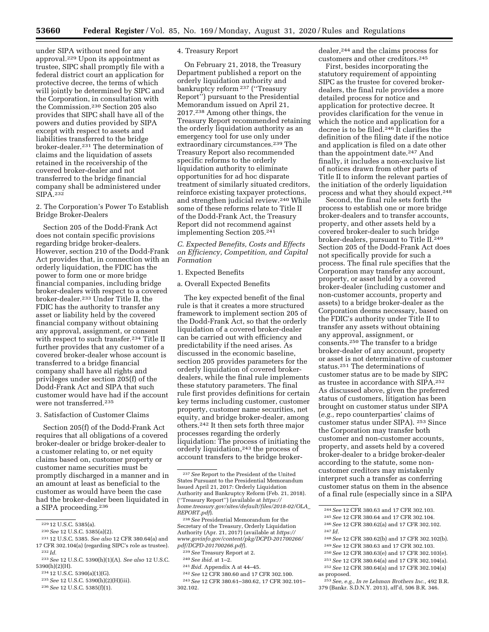under SIPA without need for any approval.229 Upon its appointment as trustee, SIPC shall promptly file with a federal district court an application for protective decree, the terms of which will jointly be determined by SIPC and the Corporation, in consultation with the Commission.230 Section 205 also provides that SIPC shall have all of the powers and duties provided by SIPA except with respect to assets and liabilities transferred to the bridge broker-dealer.231 The determination of claims and the liquidation of assets retained in the receivership of the covered broker-dealer and not transferred to the bridge financial company shall be administered under SIPA.232

2. The Corporation's Power To Establish Bridge Broker-Dealers

Section 205 of the Dodd-Frank Act does not contain specific provisions regarding bridge broker-dealers. However, section 210 of the Dodd-Frank Act provides that, in connection with an orderly liquidation, the FDIC has the power to form one or more bridge financial companies, including bridge broker-dealers with respect to a covered broker-dealer.233 Under Title II, the FDIC has the authority to transfer any asset or liability held by the covered financial company without obtaining any approval, assignment, or consent with respect to such transfer.<sup>234</sup> Title II further provides that any customer of a covered broker-dealer whose account is transferred to a bridge financial company shall have all rights and privileges under section 205(f) of the Dodd-Frank Act and SIPA that such customer would have had if the account were not transferred.235

#### 3. Satisfaction of Customer Claims

Section 205(f) of the Dodd-Frank Act requires that all obligations of a covered broker-dealer or bridge broker-dealer to a customer relating to, or net equity claims based on, customer property or customer name securities must be promptly discharged in a manner and in an amount at least as beneficial to the customer as would have been the case had the broker-dealer been liquidated in a SIPA proceeding.236

- 234 12 U.S.C. 5390(a)(1)(G).
- 235*See* 12 U.S.C. 5390(h)(2)(H)(iii).
- 236*See* 12 U.S.C. 5385(f)(1).

#### 4. Treasury Report

On February 21, 2018, the Treasury Department published a report on the orderly liquidation authority and bankruptcy reform 237 (''Treasury Report'') pursuant to the Presidential Memorandum issued on April 21, 2017.238 Among other things, the Treasury Report recommended retaining the orderly liquidation authority as an emergency tool for use only under extraordinary circumstances.<sup>239</sup> The Treasury Report also recommended specific reforms to the orderly liquidation authority to eliminate opportunities for ad hoc disparate treatment of similarly situated creditors, reinforce existing taxpayer protections, and strengthen judicial review.240 While some of these reforms relate to Title II of the Dodd-Frank Act, the Treasury Report did not recommend against implementing Section 205.241

## *C. Expected Benefits, Costs and Effects on Efficiency, Competition, and Capital Formation*

## 1. Expected Benefits

a. Overall Expected Benefits

The key expected benefit of the final rule is that it creates a more structured framework to implement section 205 of the Dodd-Frank Act, so that the orderly liquidation of a covered broker-dealer can be carried out with efficiency and predictability if the need arises. As discussed in the economic baseline, section 205 provides parameters for the orderly liquidation of covered brokerdealers, while the final rule implements these statutory parameters. The final rule first provides definitions for certain key terms including customer, customer property, customer name securities, net equity, and bridge broker-dealer, among others.242 It then sets forth three major processes regarding the orderly liquidation: The process of initiating the orderly liquidation,243 the process of account transfers to the bridge broker-

238*See* Presidential Memorandum for the Secretary of the Treasury, Orderly Liquidation Authority (Apr. 21, 2017) (available at *[https://](https://www.govinfo.gov/content/pkg/DCPD-201700266/pdf/DCPD-201700266.pdf) [www.govinfo.gov/content/pkg/DCPD-201700266/](https://www.govinfo.gov/content/pkg/DCPD-201700266/pdf/DCPD-201700266.pdf)  [pdf/DCPD-201700266.pdf](https://www.govinfo.gov/content/pkg/DCPD-201700266/pdf/DCPD-201700266.pdf)*).

239*See* Treasury Report at 2.

- 240*See ibid.* at 1–2.
- 241 *Ibid.* Appendix A at 44–45.
- 242*See* 12 CFR 380.60 and 17 CFR 302.100.

243*See* 12 CFR 380.61–380.62, 17 CFR 302.101– 302.102.

dealer,244 and the claims process for customers and other creditors.245

First, besides incorporating the statutory requirement of appointing SIPC as the trustee for covered brokerdealers, the final rule provides a more detailed process for notice and application for protective decree. It provides clarification for the venue in which the notice and application for a decree is to be filed.246 It clarifies the definition of the filing date if the notice and application is filed on a date other than the appointment date.<sup>247</sup> And finally, it includes a non-exclusive list of notices drawn from other parts of Title II to inform the relevant parties of the initiation of the orderly liquidation process and what they should expect.248

Second, the final rule sets forth the process to establish one or more bridge broker-dealers and to transfer accounts, property, and other assets held by a covered broker-dealer to such bridge broker-dealers, pursuant to Title II.249 Section 205 of the Dodd-Frank Act does not specifically provide for such a process. The final rule specifies that the Corporation may transfer any account, property, or asset held by a covered broker-dealer (including customer and non-customer accounts, property and assets) to a bridge broker-dealer as the Corporation deems necessary, based on the FDIC's authority under Title II to transfer any assets without obtaining any approval, assignment, or consents.250 The transfer to a bridge broker-dealer of any account, property or asset is not determinative of customer status.251 The determinations of customer status are to be made by SIPC as trustee in accordance with SIPA.252 As discussed above, given the preferred status of customers, litigation has been brought on customer status under SIPA (*e.g.,* repo counterparties' claims of customer status under SIPA). 253 Since the Corporation may transfer both customer and non-customer accounts, property, and assets held by a covered broker-dealer to a bridge broker-dealer according to the statute, some noncustomer creditors may mistakenly interpret such a transfer as conferring customer status on them in the absence of a final rule (especially since in a SIPA

248*See* 12 CFR 380.62(b) and 17 CFR 302.102(b).

- 250*See* 12 CFR 380.63(e) and 17 CFR 302.103(e).
- 251*See* 12 CFR 380.64(a) and 17 CFR 302.104(a).
- 252*See* 12 CFR 380.64(a) and 17 CFR 302.104(a)
- as proposed.
	- 253*See, e.g., In re Lehman Brothers Inc.,* 492 B.R. 379 (Bankr. S.D.N.Y. 2013), aff'd, 506 B.R. 346.

<sup>229</sup> 12 U.S.C. 5385(a).

<sup>230</sup>*See* 12 U.S.C. 5385(a)(2).

<sup>231</sup> 12 U.S.C. 5385. *See also* 12 CFR 380.64(a) and 17 CFR 302.104(a) (regarding SIPC's role as trustee). 232 *Id.* 

<sup>233</sup>*See* 12 U.S.C. 5390(h)(1)(A). *See also* 12 U.S.C. 5390(h)(2)(H).

<sup>237</sup>*See* Report to the President of the United States Pursuant to the Presidential Memorandum Issued April 21, 2017: Orderly Liquidation Authority and Bankruptcy Reform (Feb. 21, 2018). (''Treasury Report'') (available at *[https://](https://home.treasury.gov/sites/default/files/2018-02/OLA_REPORT.pdf) [home.treasury.gov/sites/default/files/2018-02/OLA](https://home.treasury.gov/sites/default/files/2018-02/OLA_REPORT.pdf)*\_ *[REPORT.pdf](https://home.treasury.gov/sites/default/files/2018-02/OLA_REPORT.pdf)*).

<sup>244</sup>*See* 12 CFR 380.63 and 17 CFR 302.103. 245*See* 12 CFR 380.64 and 17 CFR 302.104. 246*See* 12 CFR 380.62(a) and 17 CFR 302.102.

<sup>247</sup> *Id.* 

<sup>249</sup>*See* 12 CFR 380.63 and 17 CFR 302.103.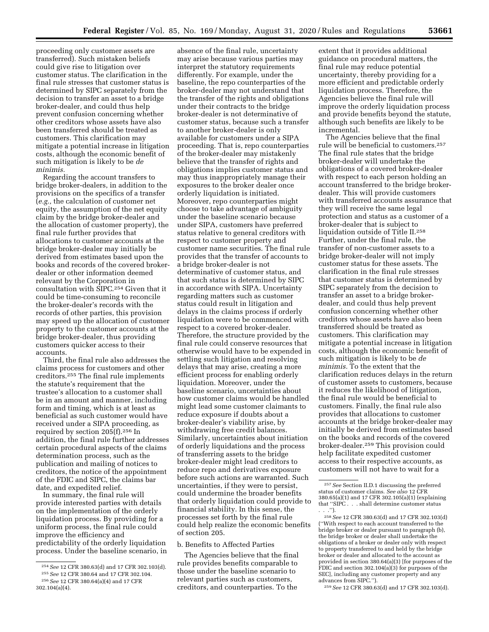proceeding only customer assets are transferred). Such mistaken beliefs could give rise to litigation over customer status. The clarification in the final rule stresses that customer status is determined by SIPC separately from the decision to transfer an asset to a bridge broker-dealer, and could thus help prevent confusion concerning whether other creditors whose assets have also been transferred should be treated as customers. This clarification may mitigate a potential increase in litigation costs, although the economic benefit of such mitigation is likely to be *de minimis.* 

Regarding the account transfers to bridge broker-dealers, in addition to the provisions on the specifics of a transfer (*e.g.,* the calculation of customer net equity, the assumption of the net equity claim by the bridge broker-dealer and the allocation of customer property), the final rule further provides that allocations to customer accounts at the bridge broker-dealer may initially be derived from estimates based upon the books and records of the covered brokerdealer or other information deemed relevant by the Corporation in consultation with SIPC.254 Given that it could be time-consuming to reconcile the broker-dealer's records with the records of other parties, this provision may speed up the allocation of customer property to the customer accounts at the bridge broker-dealer, thus providing customers quicker access to their accounts.

Third, the final rule also addresses the claims process for customers and other creditors.255 The final rule implements the statute's requirement that the trustee's allocation to a customer shall be in an amount and manner, including form and timing, which is at least as beneficial as such customer would have received under a SIPA proceeding, as required by section 205(f).256 In addition, the final rule further addresses certain procedural aspects of the claims determination process, such as the publication and mailing of notices to creditors, the notice of the appointment of the FDIC and SIPC, the claims bar date, and expedited relief.

In summary, the final rule will provide interested parties with details on the implementation of the orderly liquidation process. By providing for a uniform process, the final rule could improve the efficiency and predictability of the orderly liquidation process. Under the baseline scenario, in

absence of the final rule, uncertainty may arise because various parties may interpret the statutory requirements differently. For example, under the baseline, the repo counterparties of the broker-dealer may not understand that the transfer of the rights and obligations under their contracts to the bridge broker-dealer is not determinative of customer status, because such a transfer to another broker-dealer is only available for customers under a SIPA proceeding. That is, repo counterparties of the broker-dealer may mistakenly believe that the transfer of rights and obligations implies customer status and may thus inappropriately manage their exposures to the broker dealer once orderly liquidation is initiated. Moreover, repo counterparties might choose to take advantage of ambiguity under the baseline scenario because under SIPA, customers have preferred status relative to general creditors with respect to customer property and customer name securities. The final rule provides that the transfer of accounts to a bridge broker-dealer is not determinative of customer status, and that such status is determined by SIPC in accordance with SIPA. Uncertainty regarding matters such as customer status could result in litigation and delays in the claims process if orderly liquidation were to be commenced with respect to a covered broker-dealer. Therefore, the structure provided by the final rule could conserve resources that otherwise would have to be expended in settling such litigation and resolving delays that may arise, creating a more efficient process for enabling orderly liquidation. Moreover, under the baseline scenario, uncertainties about how customer claims would be handled might lead some customer claimants to reduce exposure if doubts about a broker-dealer's viability arise, by withdrawing free credit balances. Similarly, uncertainties about initiation of orderly liquidations and the process of transferring assets to the bridge broker-dealer might lead creditors to reduce repo and derivatives exposure before such actions are warranted. Such uncertainties, if they were to persist, could undermine the broader benefits that orderly liquidation could provide to financial stability. In this sense, the processes set forth by the final rule could help realize the economic benefits of section 205.

b. Benefits to Affected Parties

The Agencies believe that the final rule provides benefits comparable to those under the baseline scenario to relevant parties such as customers, creditors, and counterparties. To the

extent that it provides additional guidance on procedural matters, the final rule may reduce potential uncertainty, thereby providing for a more efficient and predictable orderly liquidation process. Therefore, the Agencies believe the final rule will improve the orderly liquidation process and provide benefits beyond the statute, although such benefits are likely to be incremental.

The Agencies believe that the final rule will be beneficial to customers.257 The final rule states that the bridge broker-dealer will undertake the obligations of a covered broker-dealer with respect to each person holding an account transferred to the bridge brokerdealer. This will provide customers with transferred accounts assurance that they will receive the same legal protection and status as a customer of a broker-dealer that is subject to liquidation outside of Title II.258 Further, under the final rule, the transfer of non-customer assets to a bridge broker-dealer will not imply customer status for these assets. The clarification in the final rule stresses that customer status is determined by SIPC separately from the decision to transfer an asset to a bridge brokerdealer, and could thus help prevent confusion concerning whether other creditors whose assets have also been transferred should be treated as customers. This clarification may mitigate a potential increase in litigation costs, although the economic benefit of such mitigation is likely to be *de minimis.* To the extent that the clarification reduces delays in the return of customer assets to customers, because it reduces the likelihood of litigation, the final rule would be beneficial to customers. Finally, the final rule also provides that allocations to customer accounts at the bridge broker-dealer may initially be derived from estimates based on the books and records of the covered broker-dealer.259 This provision could help facilitate expedited customer access to their respective accounts, as customers will not have to wait for a

259*See* 12 CFR 380.63(d) and 17 CFR 302.103(d).

<sup>254</sup>*See* 12 CFR 380.63(d) and 17 CFR 302.103(d). 255*See* 12 CFR 380.64 and 17 CFR 302.104.

<sup>256</sup>*See* 12 CFR 380.64(a)(4) and 17 CFR 302.104(a)(4).

<sup>257</sup>*See* Section II.D.1 discussing the preferred status of customer claims. *See also* 12 CFR 380.65(a)(1) and 17 CFR 302.105(a)(1) (explaining that ''SIPC . . . shall determine customer status . . .'').

<sup>258</sup>*See* 12 CFR 380.63(d) and 17 CFR 302.103(d) (''With respect to each account transferred to the bridge broker or dealer pursuant to paragraph (b), the bridge broker or dealer shall undertake the obligations of a broker or dealer only with respect to property transferred to and held by the bridge broker or dealer and allocated to the account as provided in section 380.64(a)(3) [for purposes of the FDIC and section 302.104(a)(3) for purposes of the SEC], including any customer property and any advances from SIPC.'').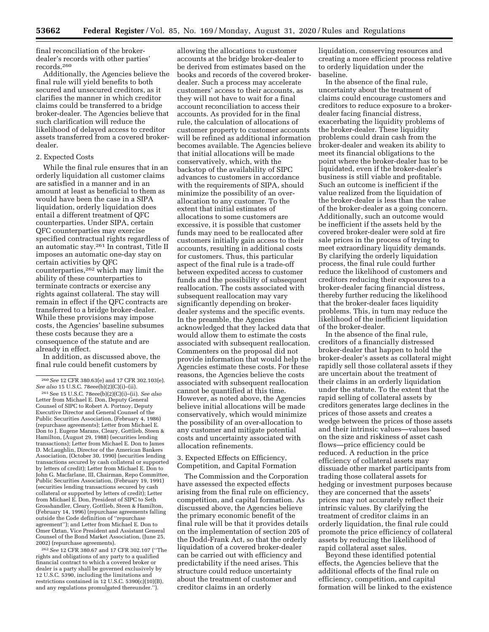final reconciliation of the brokerdealer's records with other parties' records.260

Additionally, the Agencies believe the final rule will yield benefits to both secured and unsecured creditors, as it clarifies the manner in which creditor claims could be transferred to a bridge broker-dealer. The Agencies believe that such clarification will reduce the likelihood of delayed access to creditor assets transferred from a covered brokerdealer.

#### 2. Expected Costs

While the final rule ensures that in an orderly liquidation all customer claims are satisfied in a manner and in an amount at least as beneficial to them as would have been the case in a SIPA liquidation, orderly liquidation does entail a different treatment of QFC counterparties. Under SIPA, certain QFC counterparties may exercise specified contractual rights regardless of an automatic stay.261 In contrast, Title II imposes an automatic one-day stay on certain activities by QFC counterparties,262 which may limit the ability of these counterparties to terminate contracts or exercise any rights against collateral. The stay will remain in effect if the QFC contracts are transferred to a bridge broker-dealer. While these provisions may impose costs, the Agencies' baseline subsumes these costs because they are a consequence of the statute and are already in effect.

In addition, as discussed above, the final rule could benefit customers by

262*See* 12 CFR 380.67 and 17 CFR 302.107 (''The rights and obligations of any party to a qualified financial contract to which a covered broker or dealer is a party shall be governed exclusively by 12 U.S.C. 5390, including the limitations and restrictions contained in 12 U.S.C. 5390(c)(10)(B), and any regulations promulgated thereunder.'').

allowing the allocations to customer accounts at the bridge broker-dealer to be derived from estimates based on the books and records of the covered brokerdealer. Such a process may accelerate customers' access to their accounts, as they will not have to wait for a final account reconciliation to access their accounts. As provided for in the final rule, the calculation of allocations of customer property to customer accounts will be refined as additional information becomes available. The Agencies believe that initial allocations will be made conservatively, which, with the backstop of the availability of SIPC advances to customers in accordance with the requirements of SIPA, should minimize the possibility of an overallocation to any customer. To the extent that initial estimates of allocations to some customers are excessive, it is possible that customer funds may need to be reallocated after customers initially gain access to their accounts, resulting in additional costs for customers. Thus, this particular aspect of the final rule is a trade-off between expedited access to customer funds and the possibility of subsequent reallocation. The costs associated with subsequent reallocation may vary significantly depending on brokerdealer systems and the specific events. In the preamble, the Agencies acknowledged that they lacked data that would allow them to estimate the costs associated with subsequent reallocation. Commenters on the proposal did not provide information that would help the Agencies estimate these costs. For these reasons, the Agencies believe the costs associated with subsequent reallocation cannot be quantified at this time. However, as noted above, the Agencies believe initial allocations will be made conservatively, which would minimize the possibility of an over-allocation to any customer and mitigate potential costs and uncertainty associated with allocation refinements.

## 3. Expected Effects on Efficiency, Competition, and Capital Formation

The Commission and the Corporation have assessed the expected effects arising from the final rule on efficiency, competition, and capital formation. As discussed above, the Agencies believe the primary economic benefit of the final rule will be that it provides details on the implementation of section 205 of the Dodd-Frank Act, so that the orderly liquidation of a covered broker-dealer can be carried out with efficiency and predictability if the need arises. This structure could reduce uncertainty about the treatment of customer and creditor claims in an orderly

liquidation, conserving resources and creating a more efficient process relative to orderly liquidation under the baseline.

In the absence of the final rule, uncertainty about the treatment of claims could encourage customers and creditors to reduce exposure to a brokerdealer facing financial distress, exacerbating the liquidity problems of the broker-dealer. These liquidity problems could drain cash from the broker-dealer and weaken its ability to meet its financial obligations to the point where the broker-dealer has to be liquidated, even if the broker-dealer's business is still viable and profitable. Such an outcome is inefficient if the value realized from the liquidation of the broker-dealer is less than the value of the broker-dealer as a going concern. Additionally, such an outcome would be inefficient if the assets held by the covered broker-dealer were sold at fire sale prices in the process of trying to meet extraordinary liquidity demands. By clarifying the orderly liquidation process, the final rule could further reduce the likelihood of customers and creditors reducing their exposures to a broker-dealer facing financial distress, thereby further reducing the likelihood that the broker-dealer faces liquidity problems. This, in turn may reduce the likelihood of the inefficient liquidation of the broker-dealer.

In the absence of the final rule, creditors of a financially distressed broker-dealer that happen to hold the broker-dealer's assets as collateral might rapidly sell those collateral assets if they are uncertain about the treatment of their claims in an orderly liquidation under the statute. To the extent that the rapid selling of collateral assets by creditors generates large declines in the prices of those assets and creates a wedge between the prices of those assets and their intrinsic values—values based on the size and riskiness of asset cash flows—price efficiency could be reduced. A reduction in the price efficiency of collateral assets may dissuade other market participants from trading those collateral assets for hedging or investment purposes because they are concerned that the assets' prices may not accurately reflect their intrinsic values. By clarifying the treatment of creditor claims in an orderly liquidation, the final rule could promote the price efficiency of collateral assets by reducing the likelihood of rapid collateral asset sales.

Beyond these identified potential effects, the Agencies believe that the additional effects of the final rule on efficiency, competition, and capital formation will be linked to the existence

<sup>260</sup>*See* 12 CFR 380.63(e) and 17 CFR 302.103(e).

*See also* 15 U.S.C. 78eee(b)(2)(C)(i)–(ii). 261See 15 U.S.C. 78eee(b)(2)(C)(i)–(ii). *See also*  Letter from Michael E. Don, Deputy General Counsel of SIPC to Robert A. Portnoy, Deputy Executive Director and General Counsel of the Public Securities Association, (February 4, 1986) (repurchase agreements); Letter from Michael E. Don to J. Eugene Marans, Cleary, Gottlieb, Steen & Hamilton, (August 29, 1988) (securities lending transactions); Letter from Michael E. Don to James D. McLaughlin, Director of the American Bankers Association, (October 30, 1990) (securities lending transactions secured by cash collateral or supported by letters of credit); Letter from Michael E. Don to John G. Macfarlane, III, Chairman, Repo Committee, Public Securities Association, (February 19, 1991) (securities lending transactions secured by cash collateral or supported by letters of credit); Letter from Michael E. Don, President of SIPC to Seth Grosshandler, Cleary, Gottlieb, Steen & Hamilton, (February 14, 1996) (repurchase agreements falling outside the Code definition of ''repurchase agreement''); and Letter from Michael E. Don to Omer Oztan, Vice President and Assistant General Counsel of the Bond Market Association, (June 25, 2002) (repurchase agreements).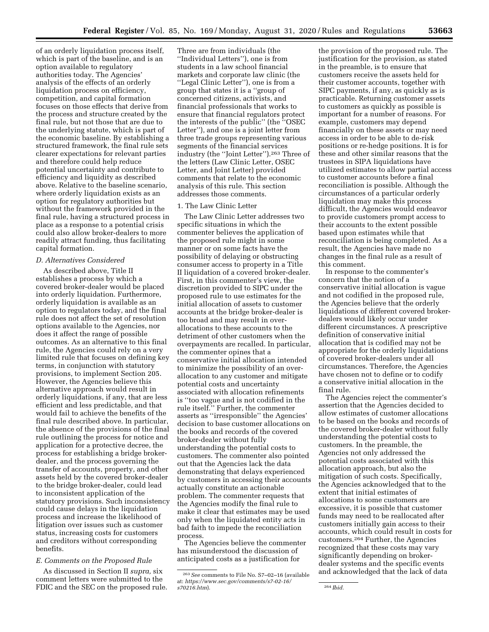of an orderly liquidation process itself, which is part of the baseline, and is an option available to regulatory authorities today. The Agencies' analysis of the effects of an orderly liquidation process on efficiency, competition, and capital formation focuses on those effects that derive from the process and structure created by the final rule, but not those that are due to the underlying statute, which is part of the economic baseline. By establishing a structured framework, the final rule sets clearer expectations for relevant parties and therefore could help reduce potential uncertainty and contribute to efficiency and liquidity as described above. Relative to the baseline scenario, where orderly liquidation exists as an option for regulatory authorities but without the framework provided in the final rule, having a structured process in place as a response to a potential crisis could also allow broker-dealers to more readily attract funding, thus facilitating capital formation.

#### *D. Alternatives Considered*

As described above, Title II establishes a process by which a covered broker-dealer would be placed into orderly liquidation. Furthermore, orderly liquidation is available as an option to regulators today, and the final rule does not affect the set of resolution options available to the Agencies, nor does it affect the range of possible outcomes. As an alternative to this final rule, the Agencies could rely on a very limited rule that focuses on defining key terms, in conjunction with statutory provisions, to implement Section 205. However, the Agencies believe this alternative approach would result in orderly liquidations, if any, that are less efficient and less predictable, and that would fail to achieve the benefits of the final rule described above. In particular, the absence of the provisions of the final rule outlining the process for notice and application for a protective decree, the process for establishing a bridge brokerdealer, and the process governing the transfer of accounts, property, and other assets held by the covered broker-dealer to the bridge broker-dealer, could lead to inconsistent application of the statutory provisions. Such inconsistency could cause delays in the liquidation process and increase the likelihood of litigation over issues such as customer status, increasing costs for customers and creditors without corresponding benefits.

## *E. Comments on the Proposed Rule*

As discussed in Section II *supra,* six comment letters were submitted to the FDIC and the SEC on the proposed rule.

Three are from individuals (the ''Individual Letters''), one is from students in a law school financial markets and corporate law clinic (the ''Legal Clinic Letter''), one is from a group that states it is a ''group of concerned citizens, activists, and financial professionals that works to ensure that financial regulators protect the interests of the public'' (the ''OSEC Letter''), and one is a joint letter from three trade groups representing various segments of the financial services industry (the ''Joint Letter'').263 Three of the letters (Law Clinic Letter, OSEC Letter, and Joint Letter) provided comments that relate to the economic analysis of this rule. This section addresses those comments.

#### 1. The Law Clinic Letter

The Law Clinic Letter addresses two specific situations in which the commenter believes the application of the proposed rule might in some manner or on some facts have the possibility of delaying or obstructing consumer access to property in a Title II liquidation of a covered broker-dealer. First, in this commenter's view, the discretion provided to SIPC under the proposed rule to use estimates for the initial allocation of assets to customer accounts at the bridge broker-dealer is too broad and may result in overallocations to these accounts to the detriment of other customers when the overpayments are recalled. In particular, the commenter opines that a conservative initial allocation intended to minimize the possibility of an overallocation to any customer and mitigate potential costs and uncertainty associated with allocation refinements is ''too vague and is not codified in the rule itself.'' Further, the commenter asserts as ''irresponsible'' the Agencies' decision to base customer allocations on the books and records of the covered broker-dealer without fully understanding the potential costs to customers. The commenter also pointed out that the Agencies lack the data demonstrating that delays experienced by customers in accessing their accounts actually constitute an actionable problem. The commenter requests that the Agencies modify the final rule to make it clear that estimates may be used only when the liquidated entity acts in bad faith to impede the reconciliation process.

The Agencies believe the commenter has misunderstood the discussion of anticipated costs as a justification for

the provision of the proposed rule. The justification for the provision, as stated in the preamble, is to ensure that customers receive the assets held for their customer accounts, together with SIPC payments, if any, as quickly as is practicable. Returning customer assets to customers as quickly as possible is important for a number of reasons. For example, customers may depend financially on these assets or may need access in order to be able to de-risk positions or re-hedge positions. It is for these and other similar reasons that the trustees in SIPA liquidations have utilized estimates to allow partial access to customer accounts before a final reconciliation is possible. Although the circumstances of a particular orderly liquidation may make this process difficult, the Agencies would endeavor to provide customers prompt access to their accounts to the extent possible based upon estimates while that reconciliation is being completed. As a result, the Agencies have made no changes in the final rule as a result of this comment.

In response to the commenter's concern that the notion of a conservative initial allocation is vague and not codified in the proposed rule, the Agencies believe that the orderly liquidations of different covered brokerdealers would likely occur under different circumstances. A prescriptive definition of conservative initial allocation that is codified may not be appropriate for the orderly liquidations of covered broker-dealers under all circumstances. Therefore, the Agencies have chosen not to define or to codify a conservative initial allocation in the final rule.

The Agencies reject the commenter's assertion that the Agencies decided to allow estimates of customer allocations to be based on the books and records of the covered broker-dealer without fully understanding the potential costs to customers. In the preamble, the Agencies not only addressed the potential costs associated with this allocation approach, but also the mitigation of such costs. Specifically, the Agencies acknowledged that to the extent that initial estimates of allocations to some customers are excessive, it is possible that customer funds may need to be reallocated after customers initially gain access to their accounts, which could result in costs for customers.264 Further, the Agencies recognized that these costs may vary significantly depending on brokerdealer systems and the specific events and acknowledged that the lack of data

<sup>263</sup>*See* comments to File No. S7–02–16 (available at: *[https://www.sec.gov/comments/s7-02-16/](https://www.sec.gov/comments/s7-02-16/s70216.htm)  [s70216.htm](https://www.sec.gov/comments/s7-02-16/s70216.htm)*). 264 *Ibid.*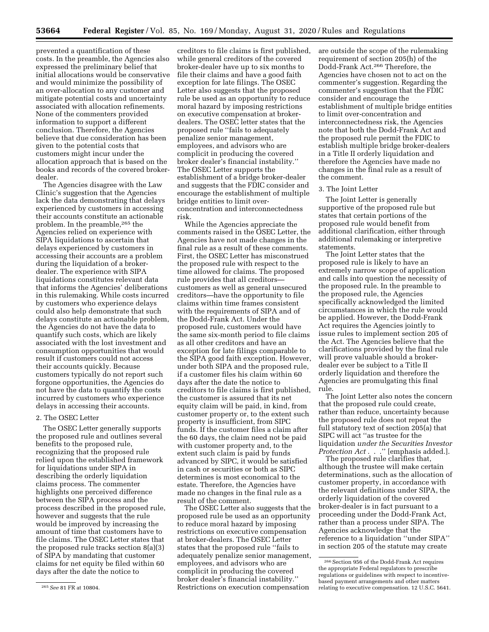prevented a quantification of these costs. In the preamble, the Agencies also expressed the preliminary belief that initial allocations would be conservative and would minimize the possibility of an over-allocation to any customer and mitigate potential costs and uncertainty associated with allocation refinements. None of the commenters provided information to support a different conclusion. Therefore, the Agencies believe that due consideration has been given to the potential costs that customers might incur under the allocation approach that is based on the books and records of the covered brokerdealer.

The Agencies disagree with the Law Clinic's suggestion that the Agencies lack the data demonstrating that delays experienced by customers in accessing their accounts constitute an actionable problem. In the preamble,265 the Agencies relied on experience with SIPA liquidations to ascertain that delays experienced by customers in accessing their accounts are a problem during the liquidation of a brokerdealer. The experience with SIPA liquidations constitutes relevant data that informs the Agencies' deliberations in this rulemaking. While costs incurred by customers who experience delays could also help demonstrate that such delays constitute an actionable problem, the Agencies do not have the data to quantify such costs, which are likely associated with the lost investment and consumption opportunities that would result if customers could not access their accounts quickly. Because customers typically do not report such forgone opportunities, the Agencies do not have the data to quantify the costs incurred by customers who experience delays in accessing their accounts.

#### 2. The OSEC Letter

The OSEC Letter generally supports the proposed rule and outlines several benefits to the proposed rule, recognizing that the proposed rule relied upon the established framework for liquidations under SIPA in describing the orderly liquidation claims process. The commenter highlights one perceived difference between the SIPA process and the process described in the proposed rule, however and suggests that the rule would be improved by increasing the amount of time that customers have to file claims. The OSEC Letter states that the proposed rule tracks section 8(a)(3) of SIPA by mandating that customer claims for net equity be filed within 60 days after the date the notice to

creditors to file claims is first published, while general creditors of the covered broker-dealer have up to six months to file their claims and have a good faith exception for late filings. The OSEC Letter also suggests that the proposed rule be used as an opportunity to reduce moral hazard by imposing restrictions on executive compensation at brokerdealers. The OSEC letter states that the proposed rule ''fails to adequately penalize senior management, employees, and advisors who are complicit in producing the covered broker dealer's financial instability.'' The OSEC Letter supports the establishment of a bridge broker-dealer and suggests that the FDIC consider and encourage the establishment of multiple bridge entities to limit overconcentration and interconnectedness risk.

While the Agencies appreciate the comments raised in the OSEC Letter, the Agencies have not made changes in the final rule as a result of these comments. First, the OSEC Letter has misconstrued the proposed rule with respect to the time allowed for claims. The proposed rule provides that all creditors customers as well as general unsecured creditors—have the opportunity to file claims within time frames consistent with the requirements of SIPA and of the Dodd-Frank Act. Under the proposed rule, customers would have the same six-month period to file claims as all other creditors and have an exception for late filings comparable to the SIPA good faith exception. However, under both SIPA and the proposed rule, if a customer files his claim within 60 days after the date the notice to creditors to file claims is first published, the customer is assured that its net equity claim will be paid, in kind, from customer property or, to the extent such property is insufficient, from SIPC funds. If the customer files a claim after the 60 days, the claim need not be paid with customer property and, to the extent such claim is paid by funds advanced by SIPC, it would be satisfied in cash or securities or both as SIPC determines is most economical to the estate. Therefore, the Agencies have made no changes in the final rule as a result of the comment.

The OSEC Letter also suggests that the proposed rule be used as an opportunity to reduce moral hazard by imposing restrictions on executive compensation at broker-dealers. The OSEC Letter states that the proposed rule ''fails to adequately penalize senior management, employees, and advisors who are complicit in producing the covered broker dealer's financial instability.'' Restrictions on execution compensation

are outside the scope of the rulemaking requirement of section 205(h) of the Dodd-Frank Act.266 Therefore, the Agencies have chosen not to act on the commenter's suggestion. Regarding the commenter's suggestion that the FDIC consider and encourage the establishment of multiple bridge entities to limit over-concentration and interconnectedness risk, the Agencies note that both the Dodd-Frank Act and the proposed rule permit the FDIC to establish multiple bridge broker-dealers in a Title II orderly liquidation and therefore the Agencies have made no changes in the final rule as a result of the comment.

#### 3. The Joint Letter

The Joint Letter is generally supportive of the proposed rule but states that certain portions of the proposed rule would benefit from additional clarification, either through additional rulemaking or interpretive statements.

The Joint Letter states that the proposed rule is likely to have an extremely narrow scope of application and calls into question the necessity of the proposed rule. In the preamble to the proposed rule, the Agencies specifically acknowledged the limited circumstances in which the rule would be applied. However, the Dodd-Frank Act requires the Agencies jointly to issue rules to implement section 205 of the Act. The Agencies believe that the clarifications provided by the final rule will prove valuable should a brokerdealer ever be subject to a Title II orderly liquidation and therefore the Agencies are promulgating this final rule.

The Joint Letter also notes the concern that the proposed rule could create, rather than reduce, uncertainty because the proposed rule does not repeat the full statutory text of section 205(a) that SIPC will act ''as trustee for the liquidation *under the Securities Investor Protection Act* . . .'' [emphasis added.].

The proposed rule clarifies that, although the trustee will make certain determinations, such as the allocation of customer property, in accordance with the relevant definitions under SIPA, the orderly liquidation of the covered broker-dealer is in fact pursuant to a proceeding under the Dodd-Frank Act, rather than a process under SIPA. The Agencies acknowledge that the reference to a liquidation ''under SIPA'' in section 205 of the statute may create

<sup>265</sup>*See* 81 FR at 10804.

<sup>266</sup>Section 956 of the Dodd-Frank Act requires the appropriate Federal regulators to prescribe regulations or guidelines with respect to incentivebased payment arrangements and other matters relating to executive compensation. 12 U.S.C. 5641.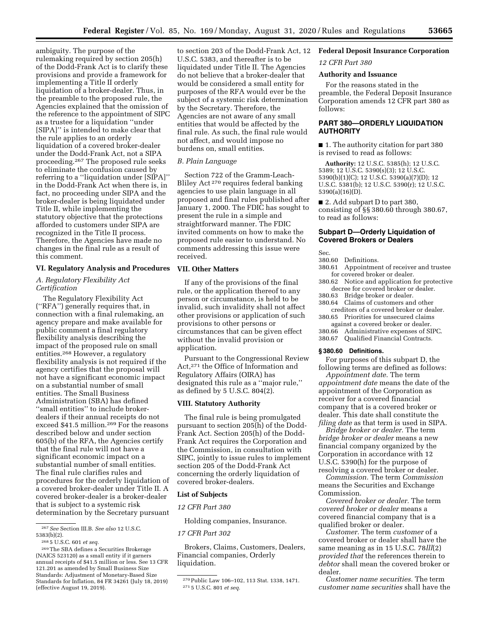ambiguity. The purpose of the rulemaking required by section 205(h) of the Dodd-Frank Act is to clarify these provisions and provide a framework for implementing a Title II orderly liquidation of a broker-dealer. Thus, in the preamble to the proposed rule, the Agencies explained that the omission of the reference to the appointment of SIPC as a trustee for a liquidation ''under [SIPA]'' is intended to make clear that the rule applies to an orderly liquidation of a covered broker-dealer under the Dodd-Frank Act, not a SIPA proceeding.267 The proposed rule seeks to eliminate the confusion caused by referring to a ''liquidation under [SIPA]'' in the Dodd-Frank Act when there is, in fact, no proceeding under SIPA and the broker-dealer is being liquidated under Title II, while implementing the statutory objective that the protections afforded to customers under SIPA are recognized in the Title II process. Therefore, the Agencies have made no changes in the final rule as a result of this comment.

## **VI. Regulatory Analysis and Procedures**

## *A. Regulatory Flexibility Act Certification*

The Regulatory Flexibility Act (''RFA'') generally requires that, in connection with a final rulemaking, an agency prepare and make available for public comment a final regulatory flexibility analysis describing the impact of the proposed rule on small entities.268 However, a regulatory flexibility analysis is not required if the agency certifies that the proposal will not have a significant economic impact on a substantial number of small entities. The Small Business Administration (SBA) has defined ''small entities'' to include brokerdealers if their annual receipts do not exceed \$41.5 million.269 For the reasons described below and under section 605(b) of the RFA, the Agencies certify that the final rule will not have a significant economic impact on a substantial number of small entities. The final rule clarifies rules and procedures for the orderly liquidation of a covered broker-dealer under Title II. A covered broker-dealer is a broker-dealer that is subject to a systemic risk determination by the Secretary pursuant

to section 203 of the Dodd-Frank Act, 12 U.S.C. 5383, and thereafter is to be liquidated under Title II. The Agencies do not believe that a broker-dealer that would be considered a small entity for purposes of the RFA would ever be the subject of a systemic risk determination by the Secretary. Therefore, the Agencies are not aware of any small entities that would be affected by the final rule. As such, the final rule would not affect, and would impose no burdens on, small entities.

### *B. Plain Language*

Section 722 of the Gramm-Leach-Bliley Act 270 requires federal banking agencies to use plain language in all proposed and final rules published after January 1, 2000. The FDIC has sought to present the rule in a simple and straightforward manner. The FDIC invited comments on how to make the proposed rule easier to understand. No comments addressing this issue were received.

#### **VII. Other Matters**

If any of the provisions of the final rule, or the application thereof to any person or circumstance, is held to be invalid, such invalidity shall not affect other provisions or application of such provisions to other persons or circumstances that can be given effect without the invalid provision or application.

Pursuant to the Congressional Review Act,271 the Office of Information and Regulatory Affairs (OIRA) has designated this rule as a ''major rule,'' as defined by 5 U.S.C. 804(2).

## **VIII. Statutory Authority**

The final rule is being promulgated pursuant to section 205(h) of the Dodd-Frank Act. Section 205(h) of the Dodd-Frank Act requires the Corporation and the Commission, in consultation with SIPC, jointly to issue rules to implement section 205 of the Dodd-Frank Act concerning the orderly liquidation of covered broker-dealers.

#### **List of Subjects**

#### *12 CFR Part 380*

Holding companies, Insurance.

#### *17 CFR Part 302*

Brokers, Claims, Customers, Dealers, Financial companies, Orderly liquidation.

## **Federal Deposit Insurance Corporation**  *12 CFR Part 380*

## **Authority and Issuance**

For the reasons stated in the preamble, the Federal Deposit Insurance Corporation amends 12 CFR part 380 as follows:

## **PART 380—ORDERLY LIQUIDATION AUTHORITY**

■ 1. The authority citation for part 380 is revised to read as follows:

**Authority:** 12 U.S.C. 5385(h); 12 U.S.C. 5389; 12 U.S.C. 5390(s)(3); 12 U.S.C. 5390(b)(1)(C); 12 U.S.C. 5390(a)(7)(D); 12 U.S.C. 5381(b); 12 U.S.C. 5390(r); 12 U.S.C. 5390(a)(16)(D).

■ 2. Add subpart D to part 380, consisting of §§ 380.60 through 380.67, to read as follows:

#### **Subpart D—Orderly Liquidation of Covered Brokers or Dealers**

Sec.

- 380.60 Definitions.
- 380.61 Appointment of receiver and trustee for covered broker or dealer.
- 380.62 Notice and application for protective decree for covered broker or dealer.
- 380.63 Bridge broker or dealer.
- 380.64 Claims of customers and other creditors of a covered broker or dealer.
- 380.65 Priorities for unsecured claims against a covered broker or dealer.
- 380.66 Administrative expenses of SIPC.
- 380.67 Qualified Financial Contracts.

#### **§ 380.60 Definitions.**

For purposes of this subpart D, the following terms are defined as follows:

*Appointment date.* The term *appointment date* means the date of the appointment of the Corporation as receiver for a covered financial company that is a covered broker or dealer. This date shall constitute the *filing date* as that term is used in SIPA.

*Bridge broker or dealer.* The term *bridge broker or dealer* means a new financial company organized by the Corporation in accordance with 12 U.S.C. 5390(h) for the purpose of resolving a covered broker or dealer.

*Commission.* The term *Commission*  means the Securities and Exchange Commission.

*Covered broker or dealer.* The term *covered broker or dealer* means a covered financial company that is a qualified broker or dealer.

*Customer.* The term *customer* of a covered broker or dealer shall have the same meaning as in 15 U.S.C. 78*lll*(2) *provided that* the references therein to *debtor* shall mean the covered broker or dealer.

*Customer name securities.* The term *customer name securities* shall have the

<sup>267</sup>*See* Section III.B. *See also* 12 U.S.C. 5383(b)(2).

<sup>268</sup> 5 U.S.C. 601 *et seq.* 

<sup>269</sup>The SBA defines a Securities Brokerage (NAICS 523120) as a small entity if it garners annual receipts of \$41.5 million or less. See 13 CFR 121.201 as amended by Small Business Size Standards: Adjustment of Monetary-Based Size Standards for Inflation, 84 FR 34261 (July 18, 2019) (effective August 19, 2019).

<sup>270</sup>Public Law 106–102, 113 Stat. 1338, 1471. 271 5 U.S.C. 801 *et seq.*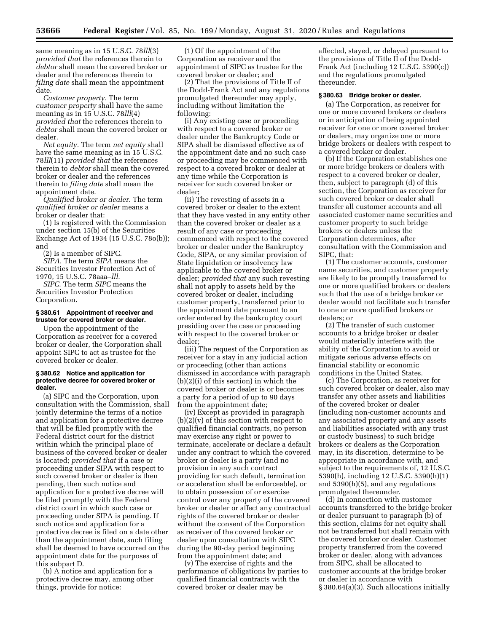same meaning as in 15 U.S.C. 78*lll*(3) *provided that* the references therein to *debtor* shall mean the covered broker or dealer and the references therein to *filing date* shall mean the appointment date.

*Customer property.* The term *customer property* shall have the same meaning as in 15 U.S.C. 78*lll*(4) *provided that* the references therein to *debtor* shall mean the covered broker or dealer.

*Net equity.* The term *net equity* shall have the same meaning as in 15 U.S.C. 78*lll*(11) *provided that* the references therein to *debtor* shall mean the covered broker or dealer and the references therein to *filing date* shall mean the appointment date.

*Qualified broker or dealer.* The term *qualified broker or dealer* means a broker or dealer that:

(1) Is registered with the Commission under section 15(b) of the Securities Exchange Act of 1934 (15 U.S.C. 78o(b)); and

(2) Is a member of SIPC.

*SIPA.* The term *SIPA* means the Securities Investor Protection Act of 1970, 15 U.S.C. 78aaa–*lll.* 

*SIPC.* The term *SIPC* means the Securities Investor Protection Corporation.

#### **§ 380.61 Appointment of receiver and trustee for covered broker or dealer.**

Upon the appointment of the Corporation as receiver for a covered broker or dealer, the Corporation shall appoint SIPC to act as trustee for the covered broker or dealer.

#### **§ 380.62 Notice and application for protective decree for covered broker or dealer.**

(a) SIPC and the Corporation, upon consultation with the Commission, shall jointly determine the terms of a notice and application for a protective decree that will be filed promptly with the Federal district court for the district within which the principal place of business of the covered broker or dealer is located; *provided that* if a case or proceeding under SIPA with respect to such covered broker or dealer is then pending, then such notice and application for a protective decree will be filed promptly with the Federal district court in which such case or proceeding under SIPA is pending. If such notice and application for a protective decree is filed on a date other than the appointment date, such filing shall be deemed to have occurred on the appointment date for the purposes of this subpart D.

(b) A notice and application for a protective decree may, among other things, provide for notice:

(1) Of the appointment of the Corporation as receiver and the appointment of SIPC as trustee for the covered broker or dealer; and

(2) That the provisions of Title II of the Dodd-Frank Act and any regulations promulgated thereunder may apply, including without limitation the following:

(i) Any existing case or proceeding with respect to a covered broker or dealer under the Bankruptcy Code or SIPA shall be dismissed effective as of the appointment date and no such case or proceeding may be commenced with respect to a covered broker or dealer at any time while the Corporation is receiver for such covered broker or dealer;

(ii) The revesting of assets in a covered broker or dealer to the extent that they have vested in any entity other than the covered broker or dealer as a result of any case or proceeding commenced with respect to the covered broker or dealer under the Bankruptcy Code, SIPA, or any similar provision of State liquidation or insolvency law applicable to the covered broker or dealer; *provided that* any such revesting shall not apply to assets held by the covered broker or dealer, including customer property, transferred prior to the appointment date pursuant to an order entered by the bankruptcy court presiding over the case or proceeding with respect to the covered broker or dealer;

(iii) The request of the Corporation as receiver for a stay in any judicial action or proceeding (other than actions dismissed in accordance with paragraph (b)(2)(i) of this section) in which the covered broker or dealer is or becomes a party for a period of up to 90 days from the appointment date;

(iv) Except as provided in paragraph  $(b)(2)(v)$  of this section with respect to qualified financial contracts, no person may exercise any right or power to terminate, accelerate or declare a default under any contract to which the covered broker or dealer is a party (and no provision in any such contract providing for such default, termination or acceleration shall be enforceable), or to obtain possession of or exercise control over any property of the covered broker or dealer or affect any contractual rights of the covered broker or dealer without the consent of the Corporation as receiver of the covered broker or dealer upon consultation with SIPC during the 90-day period beginning from the appointment date; and

(v) The exercise of rights and the performance of obligations by parties to qualified financial contracts with the covered broker or dealer may be

affected, stayed, or delayed pursuant to the provisions of Title II of the Dodd-Frank Act (including 12 U.S.C. 5390(c)) and the regulations promulgated thereunder.

#### **§ 380.63 Bridge broker or dealer.**

(a) The Corporation, as receiver for one or more covered brokers or dealers or in anticipation of being appointed receiver for one or more covered broker or dealers, may organize one or more bridge brokers or dealers with respect to a covered broker or dealer.

(b) If the Corporation establishes one or more bridge brokers or dealers with respect to a covered broker or dealer, then, subject to paragraph (d) of this section, the Corporation as receiver for such covered broker or dealer shall transfer all customer accounts and all associated customer name securities and customer property to such bridge brokers or dealers unless the Corporation determines, after consultation with the Commission and SIPC, that:

(1) The customer accounts, customer name securities, and customer property are likely to be promptly transferred to one or more qualified brokers or dealers such that the use of a bridge broker or dealer would not facilitate such transfer to one or more qualified brokers or dealers; or

(2) The transfer of such customer accounts to a bridge broker or dealer would materially interfere with the ability of the Corporation to avoid or mitigate serious adverse effects on financial stability or economic conditions in the United States.

(c) The Corporation, as receiver for such covered broker or dealer, also may transfer any other assets and liabilities of the covered broker or dealer (including non-customer accounts and any associated property and any assets and liabilities associated with any trust or custody business) to such bridge brokers or dealers as the Corporation may, in its discretion, determine to be appropriate in accordance with, and subject to the requirements of, 12 U.S.C. 5390(h), including 12 U.S.C. 5390(h)(1) and 5390(h)(5), and any regulations promulgated thereunder.

(d) In connection with customer accounts transferred to the bridge broker or dealer pursuant to paragraph (b) of this section, claims for net equity shall not be transferred but shall remain with the covered broker or dealer. Customer property transferred from the covered broker or dealer, along with advances from SIPC, shall be allocated to customer accounts at the bridge broker or dealer in accordance with § 380.64(a)(3). Such allocations initially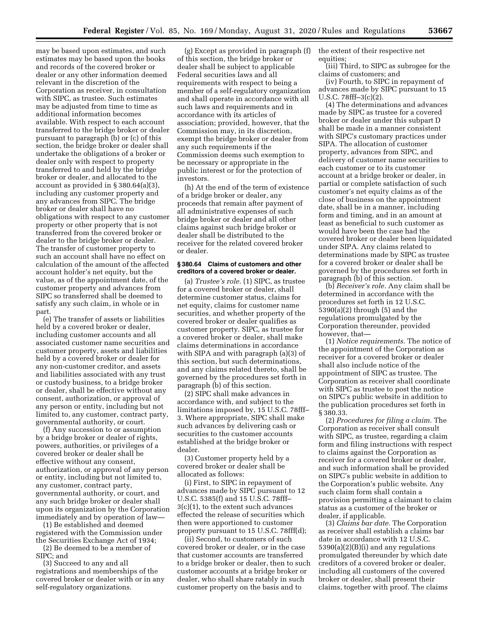may be based upon estimates, and such estimates may be based upon the books and records of the covered broker or dealer or any other information deemed relevant in the discretion of the Corporation as receiver, in consultation with SIPC, as trustee. Such estimates may be adjusted from time to time as additional information becomes available. With respect to each account transferred to the bridge broker or dealer pursuant to paragraph (b) or (c) of this section, the bridge broker or dealer shall undertake the obligations of a broker or dealer only with respect to property transferred to and held by the bridge broker or dealer, and allocated to the account as provided in § 380.64(a)(3), including any customer property and any advances from SIPC. The bridge broker or dealer shall have no obligations with respect to any customer property or other property that is not transferred from the covered broker or dealer to the bridge broker or dealer. The transfer of customer property to such an account shall have no effect on calculation of the amount of the affected account holder's net equity, but the value, as of the appointment date, of the customer property and advances from SIPC so transferred shall be deemed to satisfy any such claim, in whole or in part.

(e) The transfer of assets or liabilities held by a covered broker or dealer, including customer accounts and all associated customer name securities and customer property, assets and liabilities held by a covered broker or dealer for any non-customer creditor, and assets and liabilities associated with any trust or custody business, to a bridge broker or dealer, shall be effective without any consent, authorization, or approval of any person or entity, including but not limited to, any customer, contract party, governmental authority, or court.

(f) Any succession to or assumption by a bridge broker or dealer of rights, powers, authorities, or privileges of a covered broker or dealer shall be effective without any consent, authorization, or approval of any person or entity, including but not limited to, any customer, contract party, governmental authority, or court, and any such bridge broker or dealer shall upon its organization by the Corporation immediately and by operation of law—

(1) Be established and deemed registered with the Commission under the Securities Exchange Act of 1934;

(2) Be deemed to be a member of SIPC; and

(3) Succeed to any and all registrations and memberships of the covered broker or dealer with or in any self-regulatory organizations.

(g) Except as provided in paragraph (f) of this section, the bridge broker or dealer shall be subject to applicable Federal securities laws and all requirements with respect to being a member of a self-regulatory organization and shall operate in accordance with all such laws and requirements and in accordance with its articles of association; provided, however, that the Commission may, in its discretion, exempt the bridge broker or dealer from any such requirements if the Commission deems such exemption to be necessary or appropriate in the public interest or for the protection of investors.

(h) At the end of the term of existence of a bridge broker or dealer, any proceeds that remain after payment of all administrative expenses of such bridge broker or dealer and all other claims against such bridge broker or dealer shall be distributed to the receiver for the related covered broker or dealer.

#### **§ 380.64 Claims of customers and other creditors of a covered broker or dealer.**

(a) *Trustee's role.* (1) SIPC, as trustee for a covered broker or dealer, shall determine customer status, claims for net equity, claims for customer name securities, and whether property of the covered broker or dealer qualifies as customer property. SIPC, as trustee for a covered broker or dealer, shall make claims determinations in accordance with SIPA and with paragraph (a)(3) of this section, but such determinations, and any claims related thereto, shall be governed by the procedures set forth in paragraph (b) of this section.

(2) SIPC shall make advances in accordance with, and subject to the limitations imposed by, 15 U.S.C. 78fff– 3. Where appropriate, SIPC shall make such advances by delivering cash or securities to the customer accounts established at the bridge broker or dealer.

(3) Customer property held by a covered broker or dealer shall be allocated as follows:

(i) First, to SIPC in repayment of advances made by SIPC pursuant to 12 U.S.C. 5385(f) and 15 U.S.C. 78fff– 3(c)(1), to the extent such advances effected the release of securities which then were apportioned to customer property pursuant to 15 U.S.C. 78fff(d);

(ii) Second, to customers of such covered broker or dealer, or in the case that customer accounts are transferred to a bridge broker or dealer, then to such customer accounts at a bridge broker or dealer, who shall share ratably in such customer property on the basis and to

the extent of their respective net equities;

(iii) Third, to SIPC as subrogee for the claims of customers; and

(iv) Fourth, to SIPC in repayment of advances made by SIPC pursuant to 15 U.S.C. 78fff–3(c)(2).

(4) The determinations and advances made by SIPC as trustee for a covered broker or dealer under this subpart D shall be made in a manner consistent with SIPC's customary practices under SIPA. The allocation of customer property, advances from SIPC, and delivery of customer name securities to each customer or to its customer account at a bridge broker or dealer, in partial or complete satisfaction of such customer's net equity claims as of the close of business on the appointment date, shall be in a manner, including form and timing, and in an amount at least as beneficial to such customer as would have been the case had the covered broker or dealer been liquidated under SIPA. Any claims related to determinations made by SIPC as trustee for a covered broker or dealer shall be governed by the procedures set forth in paragraph (b) of this section.

(b) *Receiver's role.* Any claim shall be determined in accordance with the procedures set forth in 12 U.S.C. 5390(a)(2) through (5) and the regulations promulgated by the Corporation thereunder, provided however, that—

(1) *Notice requirements.* The notice of the appointment of the Corporation as receiver for a covered broker or dealer shall also include notice of the appointment of SIPC as trustee. The Corporation as receiver shall coordinate with SIPC as trustee to post the notice on SIPC's public website in addition to the publication procedures set forth in § 380.33.

(2) *Procedures for filing a claim.* The Corporation as receiver shall consult with SIPC, as trustee, regarding a claim form and filing instructions with respect to claims against the Corporation as receiver for a covered broker or dealer, and such information shall be provided on SIPC's public website in addition to the Corporation's public website. Any such claim form shall contain a provision permitting a claimant to claim status as a customer of the broker or dealer, if applicable.

(3) *Claims bar date.* The Corporation as receiver shall establish a claims bar date in accordance with 12 U.S.C. 5390(a)(2)(B)(i) and any regulations promulgated thereunder by which date creditors of a covered broker or dealer, including all customers of the covered broker or dealer, shall present their claims, together with proof. The claims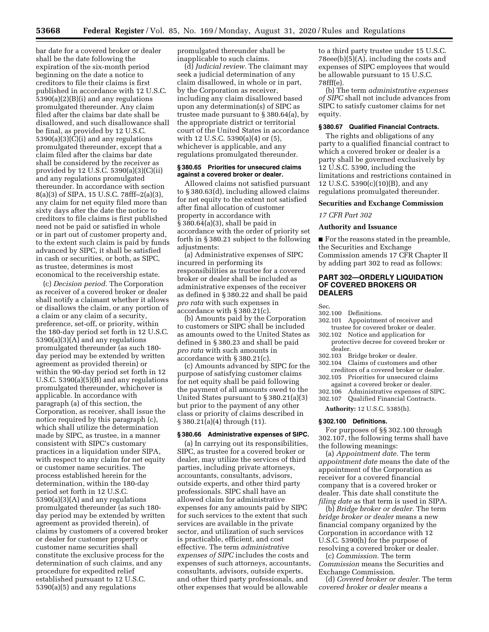bar date for a covered broker or dealer shall be the date following the expiration of the six-month period beginning on the date a notice to creditors to file their claims is first published in accordance with 12 U.S.C. 5390(a)(2)(B)(i) and any regulations promulgated thereunder. Any claim filed after the claims bar date shall be disallowed, and such disallowance shall be final, as provided by 12 U.S.C. 5390(a)(3)(C)(i) and any regulations promulgated thereunder, except that a claim filed after the claims bar date shall be considered by the receiver as provided by 12 U.S.C. 5390(a)(3)(C)(ii) and any regulations promulgated thereunder. In accordance with section 8(a)(3) of SIPA, 15 U.S.C. 78fff–2(a)(3), any claim for net equity filed more than sixty days after the date the notice to creditors to file claims is first published need not be paid or satisfied in whole or in part out of customer property and, to the extent such claim is paid by funds advanced by SIPC, it shall be satisfied in cash or securities, or both, as SIPC, as trustee, determines is most economical to the receivership estate.

(c) *Decision period.* The Corporation as receiver of a covered broker or dealer shall notify a claimant whether it allows or disallows the claim, or any portion of a claim or any claim of a security, preference, set-off, or priority, within the 180-day period set forth in 12 U.S.C. 5390(a)(3)(A) and any regulations promulgated thereunder (as such 180 day period may be extended by written agreement as provided therein) or within the 90-day period set forth in 12 U.S.C. 5390(a)(5)(B) and any regulations promulgated thereunder, whichever is applicable. In accordance with paragraph (a) of this section, the Corporation, as receiver, shall issue the notice required by this paragraph (c), which shall utilize the determination made by SIPC, as trustee, in a manner consistent with SIPC's customary practices in a liquidation under SIPA, with respect to any claim for net equity or customer name securities. The process established herein for the determination, within the 180-day period set forth in 12 U.S.C. 5390(a)(3)(A) and any regulations promulgated thereunder (as such 180 day period may be extended by written agreement as provided therein), of claims by customers of a covered broker or dealer for customer property or customer name securities shall constitute the exclusive process for the determination of such claims, and any procedure for expedited relief established pursuant to 12 U.S.C. 5390(a)(5) and any regulations

promulgated thereunder shall be inapplicable to such claims.

(d) *Judicial review.* The claimant may seek a judicial determination of any claim disallowed, in whole or in part, by the Corporation as receiver, including any claim disallowed based upon any determination(s) of SIPC as trustee made pursuant to § 380.64(a), by the appropriate district or territorial court of the United States in accordance with 12 U.S.C. 5390(a)(4) or (5), whichever is applicable, and any regulations promulgated thereunder.

#### **§ 380.65 Priorities for unsecured claims against a covered broker or dealer.**

Allowed claims not satisfied pursuant to § 380.63(d), including allowed claims for net equity to the extent not satisfied after final allocation of customer property in accordance with § 380.64(a)(3), shall be paid in accordance with the order of priority set forth in § 380.21 subject to the following adjustments:

(a) Administrative expenses of SIPC incurred in performing its responsibilities as trustee for a covered broker or dealer shall be included as administrative expenses of the receiver as defined in § 380.22 and shall be paid *pro rata* with such expenses in accordance with § 380.21(c).

(b) Amounts paid by the Corporation to customers or SIPC shall be included as amounts owed to the United States as defined in § 380.23 and shall be paid *pro rata* with such amounts in accordance with § 380.21(c).

(c) Amounts advanced by SIPC for the purpose of satisfying customer claims for net equity shall be paid following the payment of all amounts owed to the United States pursuant to § 380.21(a)(3) but prior to the payment of any other class or priority of claims described in § 380.21(a)(4) through (11).

## **§ 380.66 Administrative expenses of SIPC.**

(a) In carrying out its responsibilities, SIPC, as trustee for a covered broker or dealer, may utilize the services of third parties, including private attorneys, accountants, consultants, advisors, outside experts, and other third party professionals. SIPC shall have an allowed claim for administrative expenses for any amounts paid by SIPC for such services to the extent that such services are available in the private sector, and utilization of such services is practicable, efficient, and cost effective. The term *administrative expenses of SIPC* includes the costs and expenses of such attorneys, accountants, consultants, advisors, outside experts, and other third party professionals, and other expenses that would be allowable

to a third party trustee under 15 U.S.C. 78eee(b)(5)(A), including the costs and expenses of SIPC employees that would be allowable pursuant to 15 U.S.C. 78fff(e).

(b) The term *administrative expenses of SIPC* shall not include advances from SIPC to satisfy customer claims for net equity.

#### **§ 380.67 Qualified Financial Contracts.**

The rights and obligations of any party to a qualified financial contract to which a covered broker or dealer is a party shall be governed exclusively by 12 U.S.C. 5390, including the limitations and restrictions contained in 12 U.S.C. 5390(c)(10)(B), and any regulations promulgated thereunder.

#### **Securities and Exchange Commission**

#### *17 CFR Part 302*

#### **Authority and Issuance**

■ For the reasons stated in the preamble, the Securities and Exchange Commission amends 17 CFR Chapter II by adding part 302 to read as follows:

## **PART 302—ORDERLY LIQUIDATION OF COVERED BROKERS OR DEALERS**

Sec.

- 302.100 Definitions.
- 302.101 Appointment of receiver and trustee for covered broker or dealer.
- 302.102 Notice and application for protective decree for covered broker or dealer.
- 302.103 Bridge broker or dealer.<br>302.104 Claims of customers and
- Claims of customers and other
- creditors of a covered broker or dealer. 302.105 Priorities for unsecured claims
- against a covered broker or dealer. 302.106 Administrative expenses of SIPC.
- 302.107 Qualified Financial Contracts.

**Authority:** 12 U.S.C. 5385(h).

#### **§ 302.100 Definitions.**

For purposes of §§ 302.100 through 302.107, the following terms shall have the following meanings:

(a) *Appointment date.* The term *appointment date* means the date of the appointment of the Corporation as receiver for a covered financial company that is a covered broker or dealer. This date shall constitute the *filing date* as that term is used in SIPA.

(b) *Bridge broker or dealer.* The term *bridge broker or dealer* means a new financial company organized by the Corporation in accordance with 12 U.S.C. 5390(h) for the purpose of resolving a covered broker or dealer.

(c) *Commission.* The term *Commission* means the Securities and Exchange Commission.

(d) *Covered broker or dealer.* The term *covered broker or dealer* means a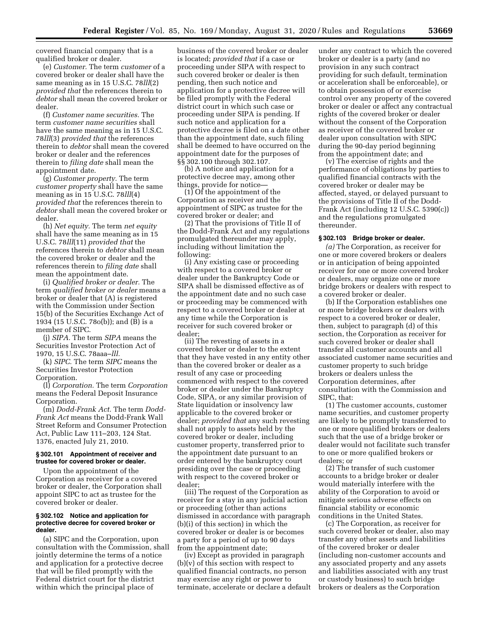covered financial company that is a qualified broker or dealer.

(e) *Customer.* The term *customer* of a covered broker or dealer shall have the same meaning as in 15 U.S.C. 78*lll*(2) *provided that* the references therein to *debtor* shall mean the covered broker or dealer.

(f) *Customer name securities.* The term *customer name securities* shall have the same meaning as in 15 U.S.C. 78*lll*(3) *provided that* the references therein to *debtor* shall mean the covered broker or dealer and the references therein to *filing date* shall mean the appointment date.

(g) *Customer property.* The term *customer property* shall have the same meaning as in 15 U.S.C. 78*lll*(4) *provided that* the references therein to *debtor* shall mean the covered broker or dealer.

(h) *Net equity.* The term *net equity*  shall have the same meaning as in 15 U.S.C. 78*lll*(11) *provided that* the references therein to *debtor* shall mean the covered broker or dealer and the references therein to *filing date* shall mean the appointment date.

(i) *Qualified broker or dealer.* The term *qualified broker or dealer* means a broker or dealer that (A) is registered with the Commission under Section 15(b) of the Securities Exchange Act of 1934 (15 U.S.C. 78o(b)); and (B) is a member of SIPC.

(j) *SIPA.* The term *SIPA* means the Securities Investor Protection Act of 1970, 15 U.S.C. 78aaa–*lll.* 

(k) *SIPC.* The term *SIPC* means the Securities Investor Protection Corporation.

(l) *Corporation.* The term *Corporation*  means the Federal Deposit Insurance Corporation.

(m) *Dodd-Frank Act.* The term *Dodd-Frank Act* means the Dodd-Frank Wall Street Reform and Consumer Protection Act, Public Law 111–203, 124 Stat. 1376, enacted July 21, 2010.

#### **§ 302.101 Appointment of receiver and trustee for covered broker or dealer.**

Upon the appointment of the Corporation as receiver for a covered broker or dealer, the Corporation shall appoint SIPC to act as trustee for the covered broker or dealer.

#### **§ 302.102 Notice and application for protective decree for covered broker or dealer.**

(a) SIPC and the Corporation, upon consultation with the Commission, shall jointly determine the terms of a notice and application for a protective decree that will be filed promptly with the Federal district court for the district within which the principal place of

business of the covered broker or dealer is located; *provided that* if a case or proceeding under SIPA with respect to such covered broker or dealer is then pending, then such notice and application for a protective decree will be filed promptly with the Federal district court in which such case or proceeding under SIPA is pending. If such notice and application for a protective decree is filed on a date other than the appointment date, such filing shall be deemed to have occurred on the appointment date for the purposes of §§ 302.100 through 302.107.

(b) A notice and application for a protective decree may, among other things, provide for notice—

(1) Of the appointment of the Corporation as receiver and the appointment of SIPC as trustee for the covered broker or dealer; and

(2) That the provisions of Title II of the Dodd-Frank Act and any regulations promulgated thereunder may apply, including without limitation the following:

(i) Any existing case or proceeding with respect to a covered broker or dealer under the Bankruptcy Code or SIPA shall be dismissed effective as of the appointment date and no such case or proceeding may be commenced with respect to a covered broker or dealer at any time while the Corporation is receiver for such covered broker or dealer;

(ii) The revesting of assets in a covered broker or dealer to the extent that they have vested in any entity other than the covered broker or dealer as a result of any case or proceeding commenced with respect to the covered broker or dealer under the Bankruptcy Code, SIPA, or any similar provision of State liquidation or insolvency law applicable to the covered broker or dealer; *provided that* any such revesting shall not apply to assets held by the covered broker or dealer, including customer property, transferred prior to the appointment date pursuant to an order entered by the bankruptcy court presiding over the case or proceeding with respect to the covered broker or dealer;

(iii) The request of the Corporation as receiver for a stay in any judicial action or proceeding (other than actions dismissed in accordance with paragraph (b)(i) of this section) in which the covered broker or dealer is or becomes a party for a period of up to 90 days from the appointment date;

(iv) Except as provided in paragraph (b)(v) of this section with respect to qualified financial contracts, no person may exercise any right or power to terminate, accelerate or declare a default under any contract to which the covered broker or dealer is a party (and no provision in any such contract providing for such default, termination or acceleration shall be enforceable), or to obtain possession of or exercise control over any property of the covered broker or dealer or affect any contractual rights of the covered broker or dealer without the consent of the Corporation as receiver of the covered broker or dealer upon consultation with SIPC during the 90-day period beginning from the appointment date; and

(v) The exercise of rights and the performance of obligations by parties to qualified financial contracts with the covered broker or dealer may be affected, stayed, or delayed pursuant to the provisions of Title II of the Dodd-Frank Act (including 12 U.S.C. 5390(c)) and the regulations promulgated thereunder.

#### **§ 302.103 Bridge broker or dealer.**

*(a)* The Corporation, as receiver for one or more covered brokers or dealers or in anticipation of being appointed receiver for one or more covered broker or dealers, may organize one or more bridge brokers or dealers with respect to a covered broker or dealer.

(b) If the Corporation establishes one or more bridge brokers or dealers with respect to a covered broker or dealer, then, subject to paragraph (d) of this section, the Corporation as receiver for such covered broker or dealer shall transfer all customer accounts and all associated customer name securities and customer property to such bridge brokers or dealers unless the Corporation determines, after consultation with the Commission and SIPC, that:

(1) The customer accounts, customer name securities, and customer property are likely to be promptly transferred to one or more qualified brokers or dealers such that the use of a bridge broker or dealer would not facilitate such transfer to one or more qualified brokers or dealers; or

(2) The transfer of such customer accounts to a bridge broker or dealer would materially interfere with the ability of the Corporation to avoid or mitigate serious adverse effects on financial stability or economic conditions in the United States.

(c) The Corporation, as receiver for such covered broker or dealer, also may transfer any other assets and liabilities of the covered broker or dealer (including non-customer accounts and any associated property and any assets and liabilities associated with any trust or custody business) to such bridge brokers or dealers as the Corporation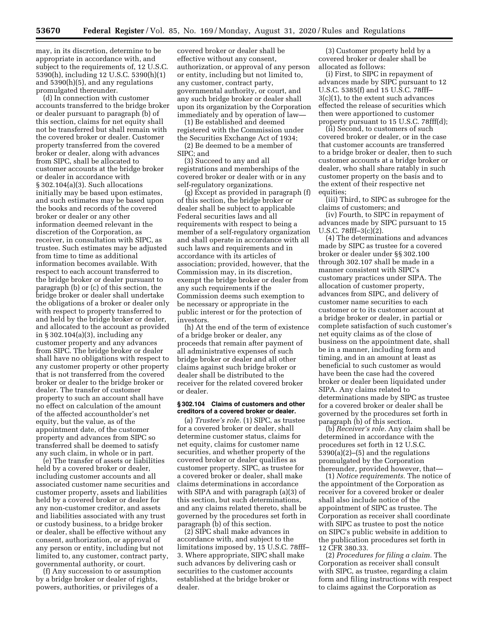may, in its discretion, determine to be appropriate in accordance with, and subject to the requirements of, 12 U.S.C. 5390(h), including 12 U.S.C. 5390(h)(1) and 5390(h)(5), and any regulations promulgated thereunder.

(d) In connection with customer accounts transferred to the bridge broker or dealer pursuant to paragraph (b) of this section, claims for net equity shall not be transferred but shall remain with the covered broker or dealer. Customer property transferred from the covered broker or dealer, along with advances from SIPC, shall be allocated to customer accounts at the bridge broker or dealer in accordance with § 302.104(a)(3). Such allocations initially may be based upon estimates, and such estimates may be based upon the books and records of the covered broker or dealer or any other information deemed relevant in the discretion of the Corporation, as receiver, in consultation with SIPC, as trustee. Such estimates may be adjusted from time to time as additional information becomes available. With respect to each account transferred to the bridge broker or dealer pursuant to paragraph (b) or (c) of this section, the bridge broker or dealer shall undertake the obligations of a broker or dealer only with respect to property transferred to and held by the bridge broker or dealer, and allocated to the account as provided in § 302.104(a)(3), including any customer property and any advances from SIPC. The bridge broker or dealer shall have no obligations with respect to any customer property or other property that is not transferred from the covered broker or dealer to the bridge broker or dealer. The transfer of customer property to such an account shall have no effect on calculation of the amount of the affected accountholder's net equity, but the value, as of the appointment date, of the customer property and advances from SIPC so transferred shall be deemed to satisfy any such claim, in whole or in part.

(e) The transfer of assets or liabilities held by a covered broker or dealer, including customer accounts and all associated customer name securities and customer property, assets and liabilities held by a covered broker or dealer for any non-customer creditor, and assets and liabilities associated with any trust or custody business, to a bridge broker or dealer, shall be effective without any consent, authorization, or approval of any person or entity, including but not limited to, any customer, contract party, governmental authority, or court.

(f) Any succession to or assumption by a bridge broker or dealer of rights, powers, authorities, or privileges of a

covered broker or dealer shall be effective without any consent, authorization, or approval of any person or entity, including but not limited to, any customer, contract party, governmental authority, or court, and any such bridge broker or dealer shall upon its organization by the Corporation immediately and by operation of law—

(1) Be established and deemed registered with the Commission under the Securities Exchange Act of 1934;

(2) Be deemed to be a member of SIPC; and

(3) Succeed to any and all registrations and memberships of the covered broker or dealer with or in any self-regulatory organizations.

(g) Except as provided in paragraph (f) of this section, the bridge broker or dealer shall be subject to applicable Federal securities laws and all requirements with respect to being a member of a self-regulatory organization and shall operate in accordance with all such laws and requirements and in accordance with its articles of association; provided, however, that the Commission may, in its discretion, exempt the bridge broker or dealer from any such requirements if the Commission deems such exemption to be necessary or appropriate in the public interest or for the protection of investors.

(h) At the end of the term of existence of a bridge broker or dealer, any proceeds that remain after payment of all administrative expenses of such bridge broker or dealer and all other claims against such bridge broker or dealer shall be distributed to the receiver for the related covered broker or dealer.

#### **§ 302.104 Claims of customers and other creditors of a covered broker or dealer.**

(a) *Trustee's role.* (1) SIPC, as trustee for a covered broker or dealer, shall determine customer status, claims for net equity, claims for customer name securities, and whether property of the covered broker or dealer qualifies as customer property. SIPC, as trustee for a covered broker or dealer, shall make claims determinations in accordance with SIPA and with paragraph (a)(3) of this section, but such determinations, and any claims related thereto, shall be governed by the procedures set forth in paragraph (b) of this section.

(2) SIPC shall make advances in accordance with, and subject to the limitations imposed by, 15 U.S.C. 78fff– 3. Where appropriate, SIPC shall make such advances by delivering cash or securities to the customer accounts established at the bridge broker or dealer.

(3) Customer property held by a covered broker or dealer shall be allocated as follows:

(i) First, to SIPC in repayment of advances made by SIPC pursuant to 12 U.S.C. 5385(f) and 15 U.S.C. 78fff– 3(c)(1), to the extent such advances effected the release of securities which then were apportioned to customer property pursuant to 15 U.S.C. 78fff(d);

(ii) Second, to customers of such covered broker or dealer, or in the case that customer accounts are transferred to a bridge broker or dealer, then to such customer accounts at a bridge broker or dealer, who shall share ratably in such customer property on the basis and to the extent of their respective net equities;

(iii) Third, to SIPC as subrogee for the claims of customers; and

(iv) Fourth, to SIPC in repayment of advances made by SIPC pursuant to 15 U.S.C. 78fff–3(c)(2).

(4) The determinations and advances made by SIPC as trustee for a covered broker or dealer under §§ 302.100 through 302.107 shall be made in a manner consistent with SIPC's customary practices under SIPA. The allocation of customer property, advances from SIPC, and delivery of customer name securities to each customer or to its customer account at a bridge broker or dealer, in partial or complete satisfaction of such customer's net equity claims as of the close of business on the appointment date, shall be in a manner, including form and timing, and in an amount at least as beneficial to such customer as would have been the case had the covered broker or dealer been liquidated under SIPA. Any claims related to determinations made by SIPC as trustee for a covered broker or dealer shall be governed by the procedures set forth in paragraph (b) of this section.

(b) *Receiver's role.* Any claim shall be determined in accordance with the procedures set forth in 12 U.S.C. 5390(a)(2)–(5) and the regulations promulgated by the Corporation thereunder, provided however, that—

(1) *Notice requirements.* The notice of the appointment of the Corporation as receiver for a covered broker or dealer shall also include notice of the appointment of SIPC as trustee. The Corporation as receiver shall coordinate with SIPC as trustee to post the notice on SIPC's public website in addition to the publication procedures set forth in 12 CFR 380.33.

(2) *Procedures for filing a claim.* The Corporation as receiver shall consult with SIPC, as trustee, regarding a claim form and filing instructions with respect to claims against the Corporation as